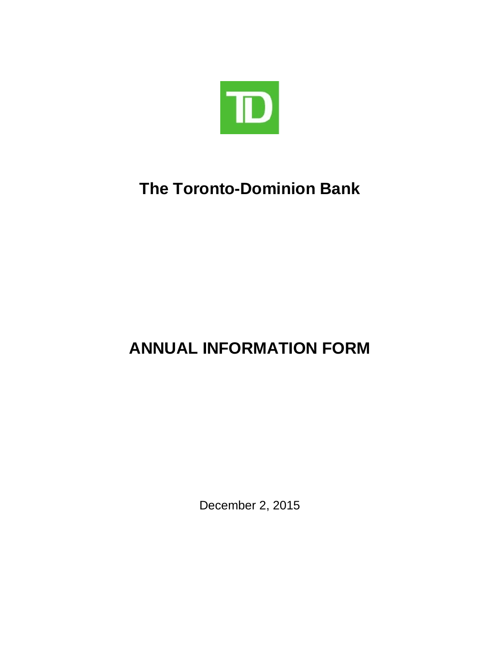

# **The Toronto-Dominion Bank**

# **ANNUAL INFORMATION FORM**

December 2, 2015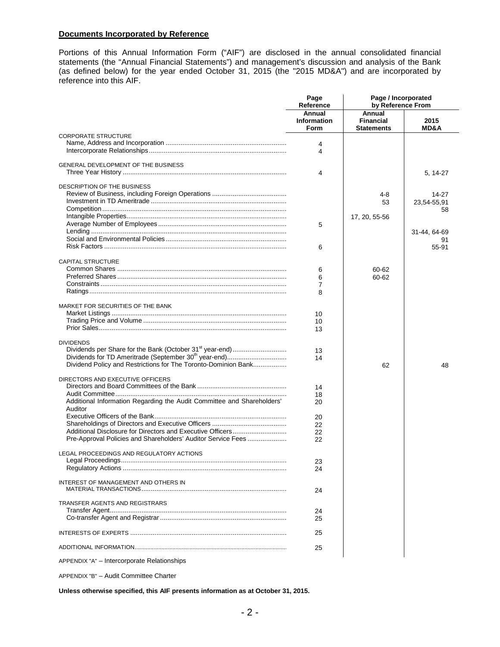#### **Documents Incorporated by Reference**

Portions of this Annual Information Form ("AIF") are disclosed in the annual consolidated financial statements (the "Annual Financial Statements") and management's discussion and analysis of the Bank (as defined below) for the year ended October 31, 2015 (the "2015 MD&A") and are incorporated by reference into this AIF.

|                                                                                          | Page<br>Reference                    | Page / Incorporated<br>by Reference From        |                         |
|------------------------------------------------------------------------------------------|--------------------------------------|-------------------------------------------------|-------------------------|
|                                                                                          | Annual<br><b>Information</b><br>Form | Annual<br><b>Financial</b><br><b>Statements</b> | 2015<br><b>MD&amp;A</b> |
| <b>CORPORATE STRUCTURE</b>                                                               |                                      |                                                 |                         |
|                                                                                          | 4                                    |                                                 |                         |
|                                                                                          | 4                                    |                                                 |                         |
| GENERAL DEVELOPMENT OF THE BUSINESS                                                      | 4                                    |                                                 | 5, 14-27                |
| DESCRIPTION OF THE BUSINESS                                                              |                                      |                                                 |                         |
|                                                                                          |                                      | 4-8                                             | 14-27                   |
|                                                                                          |                                      | 53                                              | 23,54-55,91             |
|                                                                                          |                                      |                                                 | 58                      |
|                                                                                          |                                      | 17, 20, 55-56                                   |                         |
|                                                                                          | 5                                    |                                                 |                         |
|                                                                                          |                                      |                                                 | 31-44, 64-69            |
|                                                                                          |                                      |                                                 | 91                      |
|                                                                                          | 6                                    |                                                 | 55-91                   |
|                                                                                          |                                      |                                                 |                         |
| <b>CAPITAL STRUCTURE</b>                                                                 |                                      |                                                 |                         |
|                                                                                          | 6                                    | 60-62                                           |                         |
|                                                                                          | 6                                    | 60-62                                           |                         |
|                                                                                          | 7                                    |                                                 |                         |
|                                                                                          | 8                                    |                                                 |                         |
| MARKET FOR SECURITIES OF THE BANK                                                        |                                      |                                                 |                         |
|                                                                                          | 10                                   |                                                 |                         |
|                                                                                          | 10                                   |                                                 |                         |
|                                                                                          | 13                                   |                                                 |                         |
|                                                                                          |                                      |                                                 |                         |
| <b>DIVIDENDS</b><br>Dividends per Share for the Bank (October 31 <sup>st</sup> year-end) |                                      |                                                 |                         |
|                                                                                          | 13                                   |                                                 |                         |
| Dividend Policy and Restrictions for The Toronto-Dominion Bank                           | 14                                   |                                                 |                         |
|                                                                                          |                                      | 62                                              | 48                      |
| DIRECTORS AND EXECUTIVE OFFICERS                                                         |                                      |                                                 |                         |
|                                                                                          | 14                                   |                                                 |                         |
|                                                                                          | 18                                   |                                                 |                         |
| Additional Information Regarding the Audit Committee and Shareholders'                   | 20                                   |                                                 |                         |
| Auditor                                                                                  |                                      |                                                 |                         |
|                                                                                          | 20                                   |                                                 |                         |
|                                                                                          | 22                                   |                                                 |                         |
|                                                                                          | 22                                   |                                                 |                         |
| Pre-Approval Policies and Shareholders' Auditor Service Fees                             | 22                                   |                                                 |                         |
| LEGAL PROCEEDINGS AND REGULATORY ACTIONS                                                 |                                      |                                                 |                         |
|                                                                                          | 23                                   |                                                 |                         |
|                                                                                          | 24                                   |                                                 |                         |
|                                                                                          |                                      |                                                 |                         |
| INTEREST OF MANAGEMENT AND OTHERS IN                                                     |                                      |                                                 |                         |
|                                                                                          | 24                                   |                                                 |                         |
| TRANSFER AGENTS AND REGISTRARS                                                           |                                      |                                                 |                         |
|                                                                                          |                                      |                                                 |                         |
|                                                                                          | 24                                   |                                                 |                         |
|                                                                                          | 25                                   |                                                 |                         |
|                                                                                          | 25                                   |                                                 |                         |
|                                                                                          |                                      |                                                 |                         |
|                                                                                          | 25                                   |                                                 |                         |
| APPENDIX "A" - Intercorporate Relationships                                              |                                      |                                                 |                         |

APPENDIX "B" – Audit Committee Charter

**Unless otherwise specified, this AIF presents information as at October 31, 2015.**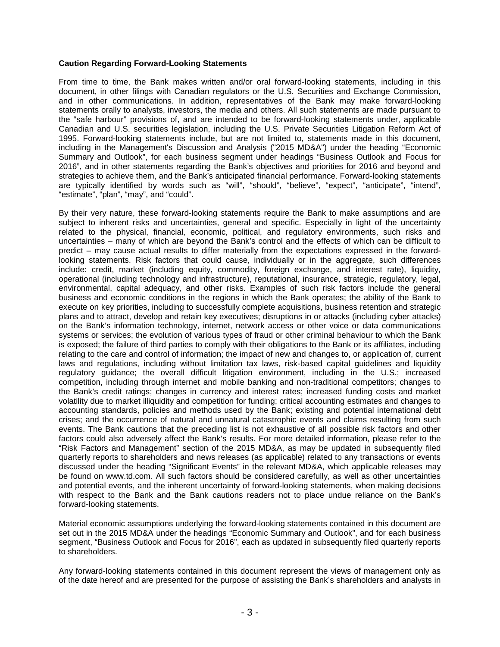### **Caution Regarding Forward-Looking Statements**

From time to time, the Bank makes written and/or oral forward-looking statements, including in this document, in other filings with Canadian regulators or the U.S. Securities and Exchange Commission, and in other communications. In addition, representatives of the Bank may make forward-looking statements orally to analysts, investors, the media and others. All such statements are made pursuant to the "safe harbour" provisions of, and are intended to be forward-looking statements under, applicable Canadian and U.S. securities legislation, including the U.S. Private Securities Litigation Reform Act of 1995. Forward-looking statements include, but are not limited to, statements made in this document, including in the Management's Discussion and Analysis ("2015 MD&A") under the heading "Economic Summary and Outlook", for each business segment under headings "Business Outlook and Focus for 2016", and in other statements regarding the Bank's objectives and priorities for 2016 and beyond and strategies to achieve them, and the Bank's anticipated financial performance. Forward-looking statements are typically identified by words such as "will", "should", "believe", "expect", "anticipate", "intend", "estimate", "plan", "may", and "could".

By their very nature, these forward-looking statements require the Bank to make assumptions and are subject to inherent risks and uncertainties, general and specific. Especially in light of the uncertainty related to the physical, financial, economic, political, and regulatory environments, such risks and uncertainties – many of which are beyond the Bank's control and the effects of which can be difficult to predict – may cause actual results to differ materially from the expectations expressed in the forwardlooking statements. Risk factors that could cause, individually or in the aggregate, such differences include: credit, market (including equity, commodity, foreign exchange, and interest rate), liquidity, operational (including technology and infrastructure), reputational, insurance, strategic, regulatory, legal, environmental, capital adequacy, and other risks. Examples of such risk factors include the general business and economic conditions in the regions in which the Bank operates; the ability of the Bank to execute on key priorities, including to successfully complete acquisitions, business retention and strategic plans and to attract, develop and retain key executives; disruptions in or attacks (including cyber attacks) on the Bank's information technology, internet, network access or other voice or data communications systems or services; the evolution of various types of fraud or other criminal behaviour to which the Bank is exposed; the failure of third parties to comply with their obligations to the Bank or its affiliates, including relating to the care and control of information; the impact of new and changes to, or application of, current laws and regulations, including without limitation tax laws, risk-based capital guidelines and liquidity regulatory guidance; the overall difficult litigation environment, including in the U.S.; increased competition, including through internet and mobile banking and non-traditional competitors; changes to the Bank's credit ratings; changes in currency and interest rates; increased funding costs and market volatility due to market illiquidity and competition for funding; critical accounting estimates and changes to accounting standards, policies and methods used by the Bank; existing and potential international debt crises; and the occurrence of natural and unnatural catastrophic events and claims resulting from such events. The Bank cautions that the preceding list is not exhaustive of all possible risk factors and other factors could also adversely affect the Bank's results. For more detailed information, please refer to the "Risk Factors and Management" section of the 2015 MD&A, as may be updated in subsequently filed quarterly reports to shareholders and news releases (as applicable) related to any transactions or events discussed under the heading "Significant Events" in the relevant MD&A, which applicable releases may be found on www.td.com. All such factors should be considered carefully, as well as other uncertainties and potential events, and the inherent uncertainty of forward-looking statements, when making decisions with respect to the Bank and the Bank cautions readers not to place undue reliance on the Bank's forward-looking statements.

Material economic assumptions underlying the forward-looking statements contained in this document are set out in the 2015 MD&A under the headings "Economic Summary and Outlook", and for each business segment, "Business Outlook and Focus for 2016", each as updated in subsequently filed quarterly reports to shareholders.

Any forward-looking statements contained in this document represent the views of management only as of the date hereof and are presented for the purpose of assisting the Bank's shareholders and analysts in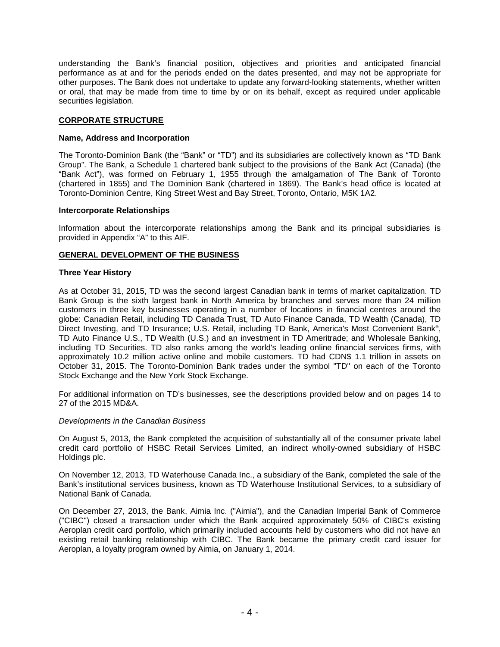understanding the Bank's financial position, objectives and priorities and anticipated financial performance as at and for the periods ended on the dates presented, and may not be appropriate for other purposes. The Bank does not undertake to update any forward-looking statements, whether written or oral, that may be made from time to time by or on its behalf, except as required under applicable securities legislation.

# **CORPORATE STRUCTURE**

### **Name, Address and Incorporation**

The Toronto-Dominion Bank (the "Bank" or "TD") and its subsidiaries are collectively known as "TD Bank Group". The Bank, a Schedule 1 chartered bank subject to the provisions of the Bank Act (Canada) (the "Bank Act"), was formed on February 1, 1955 through the amalgamation of The Bank of Toronto (chartered in 1855) and The Dominion Bank (chartered in 1869). The Bank's head office is located at Toronto-Dominion Centre, King Street West and Bay Street, Toronto, Ontario, M5K 1A2.

#### **Intercorporate Relationships**

Information about the intercorporate relationships among the Bank and its principal subsidiaries is provided in Appendix "A" to this AIF.

# **GENERAL DEVELOPMENT OF THE BUSINESS**

# **Three Year History**

As at October 31, 2015, TD was the second largest Canadian bank in terms of market capitalization. TD Bank Group is the sixth largest bank in North America by branches and serves more than 24 million customers in three key businesses operating in a number of locations in financial centres around the globe: Canadian Retail, including TD Canada Trust, TD Auto Finance Canada, TD Wealth (Canada), TD Direct Investing, and TD Insurance; U.S. Retail, including TD Bank, America's Most Convenient Bank®, TD Auto Finance U.S., TD Wealth (U.S.) and an investment in TD Ameritrade; and Wholesale Banking, including TD Securities. TD also ranks among the world's leading online financial services firms, with approximately 10.2 million active online and mobile customers. TD had CDN\$ 1.1 trillion in assets on October 31, 2015. The Toronto-Dominion Bank trades under the symbol "TD" on each of the Toronto Stock Exchange and the New York Stock Exchange.

For additional information on TD's businesses, see the descriptions provided below and on pages 14 to 27 of the 2015 MD&A.

#### *Developments in the Canadian Business*

On August 5, 2013, the Bank completed the acquisition of substantially all of the consumer private label credit card portfolio of HSBC Retail Services Limited, an indirect wholly-owned subsidiary of HSBC Holdings plc.

On November 12, 2013, TD Waterhouse Canada Inc., a subsidiary of the Bank, completed the sale of the Bank's institutional services business, known as TD Waterhouse Institutional Services, to a subsidiary of National Bank of Canada.

On December 27, 2013, the Bank, Aimia Inc. ("Aimia"), and the Canadian Imperial Bank of Commerce ("CIBC") closed a transaction under which the Bank acquired approximately 50% of CIBC's existing Aeroplan credit card portfolio, which primarily included accounts held by customers who did not have an existing retail banking relationship with CIBC. The Bank became the primary credit card issuer for Aeroplan, a loyalty program owned by Aimia, on January 1, 2014.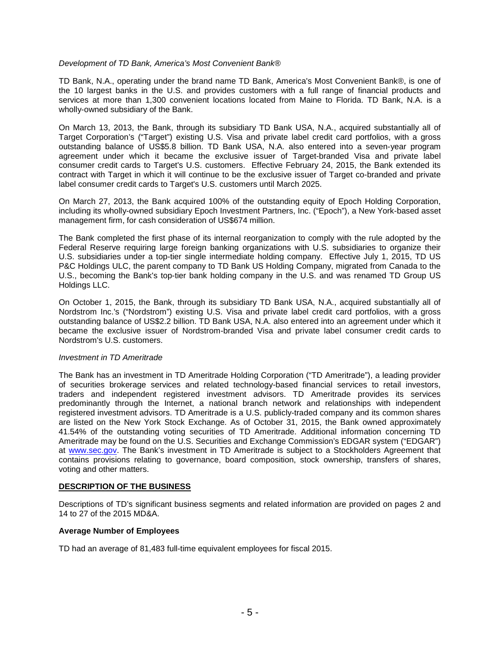#### *Development of TD Bank, America's Most Convenient Bank®*

TD Bank, N.A., operating under the brand name TD Bank, America's Most Convenient Bank®, is one of the 10 largest banks in the U.S. and provides customers with a full range of financial products and services at more than 1,300 convenient locations located from Maine to Florida. TD Bank, N.A. is a wholly-owned subsidiary of the Bank.

On March 13, 2013, the Bank, through its subsidiary TD Bank USA, N.A., acquired substantially all of Target Corporation's ("Target") existing U.S. Visa and private label credit card portfolios, with a gross outstanding balance of US\$5.8 billion. TD Bank USA, N.A. also entered into a seven-year program agreement under which it became the exclusive issuer of Target-branded Visa and private label consumer credit cards to Target's U.S. customers. Effective February 24, 2015, the Bank extended its contract with Target in which it will continue to be the exclusive issuer of Target co-branded and private label consumer credit cards to Target's U.S. customers until March 2025.

On March 27, 2013, the Bank acquired 100% of the outstanding equity of Epoch Holding Corporation, including its wholly-owned subsidiary Epoch Investment Partners, Inc. ("Epoch"), a New York-based asset management firm, for cash consideration of US\$674 million.

The Bank completed the first phase of its internal reorganization to comply with the rule adopted by the Federal Reserve requiring large foreign banking organizations with U.S. subsidiaries to organize their U.S. subsidiaries under a top-tier single intermediate holding company. Effective July 1, 2015, TD US P&C Holdings ULC, the parent company to TD Bank US Holding Company, migrated from Canada to the U.S., becoming the Bank's top-tier bank holding company in the U.S. and was renamed TD Group US Holdings LLC.

On October 1, 2015, the Bank, through its subsidiary TD Bank USA, N.A., acquired substantially all of Nordstrom Inc.'s ("Nordstrom") existing U.S. Visa and private label credit card portfolios, with a gross outstanding balance of US\$2.2 billion. TD Bank USA, N.A. also entered into an agreement under which it became the exclusive issuer of Nordstrom-branded Visa and private label consumer credit cards to Nordstrom's U.S. customers.

#### *Investment in TD Ameritrade*

The Bank has an investment in TD Ameritrade Holding Corporation ("TD Ameritrade"), a leading provider of securities brokerage services and related technology-based financial services to retail investors, traders and independent registered investment advisors. TD Ameritrade provides its services predominantly through the Internet, a national branch network and relationships with independent registered investment advisors. TD Ameritrade is a U.S. publicly-traded company and its common shares are listed on the New York Stock Exchange. As of October 31, 2015, the Bank owned approximately 41.54% of the outstanding voting securities of TD Ameritrade. Additional information concerning TD Ameritrade may be found on the U.S. Securities and Exchange Commission's EDGAR system ("EDGAR") at [www.sec.gov.](http://www.sec.gov/) The Bank's investment in TD Ameritrade is subject to a Stockholders Agreement that contains provisions relating to governance, board composition, stock ownership, transfers of shares, voting and other matters.

#### **DESCRIPTION OF THE BUSINESS**

Descriptions of TD's significant business segments and related information are provided on pages 2 and 14 to 27 of the 2015 MD&A.

#### **Average Number of Employees**

TD had an average of 81,483 full-time equivalent employees for fiscal 2015.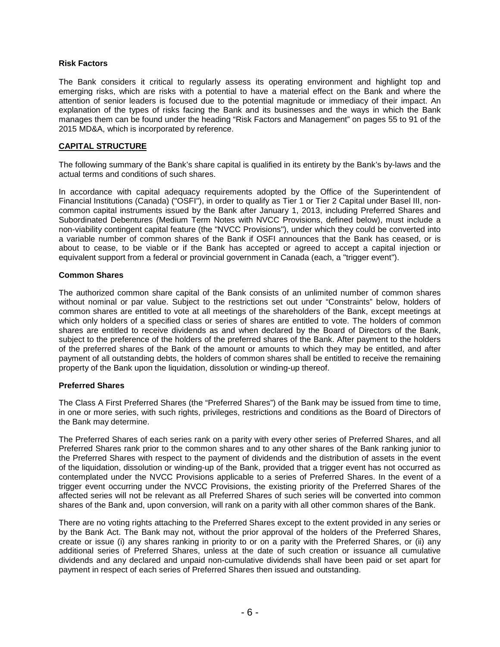### **Risk Factors**

The Bank considers it critical to regularly assess its operating environment and highlight top and emerging risks, which are risks with a potential to have a material effect on the Bank and where the attention of senior leaders is focused due to the potential magnitude or immediacy of their impact. An explanation of the types of risks facing the Bank and its businesses and the ways in which the Bank manages them can be found under the heading "Risk Factors and Management" on pages 55 to 91 of the 2015 MD&A, which is incorporated by reference.

# **CAPITAL STRUCTURE**

The following summary of the Bank's share capital is qualified in its entirety by the Bank's by-laws and the actual terms and conditions of such shares.

In accordance with capital adequacy requirements adopted by the Office of the Superintendent of Financial Institutions (Canada) ("OSFI"), in order to qualify as Tier 1 or Tier 2 Capital under Basel III, noncommon capital instruments issued by the Bank after January 1, 2013, including Preferred Shares and Subordinated Debentures (Medium Term Notes with NVCC Provisions, defined below), must include a non-viability contingent capital feature (the "NVCC Provisions"), under which they could be converted into a variable number of common shares of the Bank if OSFI announces that the Bank has ceased, or is about to cease, to be viable or if the Bank has accepted or agreed to accept a capital injection or equivalent support from a federal or provincial government in Canada (each, a "trigger event").

# **Common Shares**

The authorized common share capital of the Bank consists of an unlimited number of common shares without nominal or par value. Subject to the restrictions set out under "Constraints" below, holders of common shares are entitled to vote at all meetings of the shareholders of the Bank, except meetings at which only holders of a specified class or series of shares are entitled to vote. The holders of common shares are entitled to receive dividends as and when declared by the Board of Directors of the Bank, subject to the preference of the holders of the preferred shares of the Bank. After payment to the holders of the preferred shares of the Bank of the amount or amounts to which they may be entitled, and after payment of all outstanding debts, the holders of common shares shall be entitled to receive the remaining property of the Bank upon the liquidation, dissolution or winding-up thereof.

#### **Preferred Shares**

The Class A First Preferred Shares (the "Preferred Shares") of the Bank may be issued from time to time, in one or more series, with such rights, privileges, restrictions and conditions as the Board of Directors of the Bank may determine.

The Preferred Shares of each series rank on a parity with every other series of Preferred Shares, and all Preferred Shares rank prior to the common shares and to any other shares of the Bank ranking junior to the Preferred Shares with respect to the payment of dividends and the distribution of assets in the event of the liquidation, dissolution or winding-up of the Bank, provided that a trigger event has not occurred as contemplated under the NVCC Provisions applicable to a series of Preferred Shares. In the event of a trigger event occurring under the NVCC Provisions, the existing priority of the Preferred Shares of the affected series will not be relevant as all Preferred Shares of such series will be converted into common shares of the Bank and, upon conversion, will rank on a parity with all other common shares of the Bank.

There are no voting rights attaching to the Preferred Shares except to the extent provided in any series or by the Bank Act. The Bank may not, without the prior approval of the holders of the Preferred Shares, create or issue (i) any shares ranking in priority to or on a parity with the Preferred Shares, or (ii) any additional series of Preferred Shares, unless at the date of such creation or issuance all cumulative dividends and any declared and unpaid non-cumulative dividends shall have been paid or set apart for payment in respect of each series of Preferred Shares then issued and outstanding.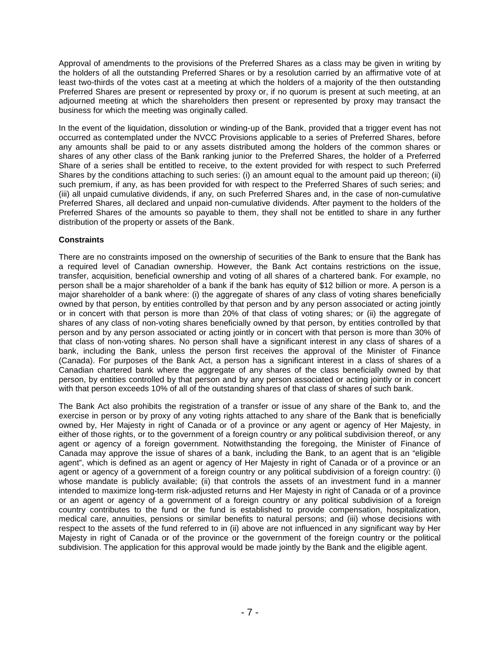Approval of amendments to the provisions of the Preferred Shares as a class may be given in writing by the holders of all the outstanding Preferred Shares or by a resolution carried by an affirmative vote of at least two-thirds of the votes cast at a meeting at which the holders of a majority of the then outstanding Preferred Shares are present or represented by proxy or, if no quorum is present at such meeting, at an adjourned meeting at which the shareholders then present or represented by proxy may transact the business for which the meeting was originally called.

In the event of the liquidation, dissolution or winding-up of the Bank, provided that a trigger event has not occurred as contemplated under the NVCC Provisions applicable to a series of Preferred Shares, before any amounts shall be paid to or any assets distributed among the holders of the common shares or shares of any other class of the Bank ranking junior to the Preferred Shares, the holder of a Preferred Share of a series shall be entitled to receive, to the extent provided for with respect to such Preferred Shares by the conditions attaching to such series: (i) an amount equal to the amount paid up thereon; (ii) such premium, if any, as has been provided for with respect to the Preferred Shares of such series; and (iii) all unpaid cumulative dividends, if any, on such Preferred Shares and, in the case of non-cumulative Preferred Shares, all declared and unpaid non-cumulative dividends. After payment to the holders of the Preferred Shares of the amounts so payable to them, they shall not be entitled to share in any further distribution of the property or assets of the Bank.

# **Constraints**

There are no constraints imposed on the ownership of securities of the Bank to ensure that the Bank has a required level of Canadian ownership. However, the Bank Act contains restrictions on the issue, transfer, acquisition, beneficial ownership and voting of all shares of a chartered bank. For example, no person shall be a major shareholder of a bank if the bank has equity of \$12 billion or more. A person is a major shareholder of a bank where: (i) the aggregate of shares of any class of voting shares beneficially owned by that person, by entities controlled by that person and by any person associated or acting jointly or in concert with that person is more than 20% of that class of voting shares; or (ii) the aggregate of shares of any class of non-voting shares beneficially owned by that person, by entities controlled by that person and by any person associated or acting jointly or in concert with that person is more than 30% of that class of non-voting shares. No person shall have a significant interest in any class of shares of a bank, including the Bank, unless the person first receives the approval of the Minister of Finance (Canada). For purposes of the Bank Act, a person has a significant interest in a class of shares of a Canadian chartered bank where the aggregate of any shares of the class beneficially owned by that person, by entities controlled by that person and by any person associated or acting jointly or in concert with that person exceeds 10% of all of the outstanding shares of that class of shares of such bank.

The Bank Act also prohibits the registration of a transfer or issue of any share of the Bank to, and the exercise in person or by proxy of any voting rights attached to any share of the Bank that is beneficially owned by, Her Majesty in right of Canada or of a province or any agent or agency of Her Majesty, in either of those rights, or to the government of a foreign country or any political subdivision thereof, or any agent or agency of a foreign government. Notwithstanding the foregoing, the Minister of Finance of Canada may approve the issue of shares of a bank, including the Bank, to an agent that is an "eligible agent", which is defined as an agent or agency of Her Majesty in right of Canada or of a province or an agent or agency of a government of a foreign country or any political subdivision of a foreign country: (i) whose mandate is publicly available; (ii) that controls the assets of an investment fund in a manner intended to maximize long-term risk-adjusted returns and Her Majesty in right of Canada or of a province or an agent or agency of a government of a foreign country or any political subdivision of a foreign country contributes to the fund or the fund is established to provide compensation, hospitalization, medical care, annuities, pensions or similar benefits to natural persons; and (iii) whose decisions with respect to the assets of the fund referred to in (ii) above are not influenced in any significant way by Her Majesty in right of Canada or of the province or the government of the foreign country or the political subdivision. The application for this approval would be made jointly by the Bank and the eligible agent.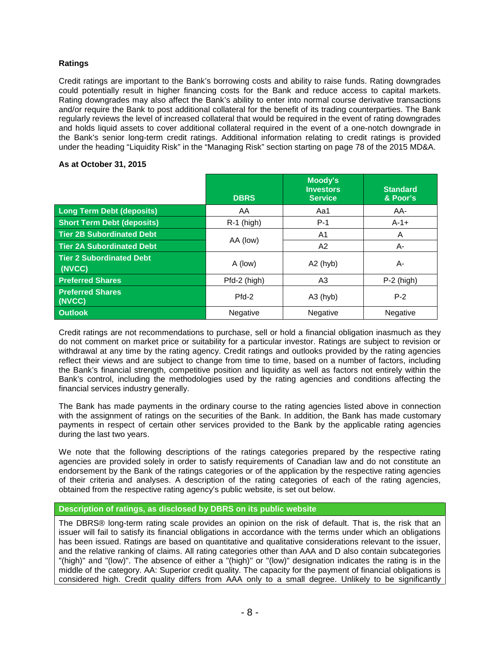# **Ratings**

Credit ratings are important to the Bank's borrowing costs and ability to raise funds. Rating downgrades could potentially result in higher financing costs for the Bank and reduce access to capital markets. Rating downgrades may also affect the Bank's ability to enter into normal course derivative transactions and/or require the Bank to post additional collateral for the benefit of its trading counterparties. The Bank regularly reviews the level of increased collateral that would be required in the event of rating downgrades and holds liquid assets to cover additional collateral required in the event of a one-notch downgrade in the Bank's senior long-term credit ratings. Additional information relating to credit ratings is provided under the heading "Liquidity Risk" in the "Managing Risk" section starting on page 78 of the 2015 MD&A.

|                                           | <b>DBRS</b>  | Moody's<br><b>Investors</b><br><b>Service</b> | <b>Standard</b><br>& Poor's |
|-------------------------------------------|--------------|-----------------------------------------------|-----------------------------|
| <b>Long Term Debt (deposits)</b>          | AA           | Aa1                                           | AA-                         |
| <b>Short Term Debt (deposits)</b>         | $R-1$ (high) | $P-1$                                         | $A-1+$                      |
| <b>Tier 2B Subordinated Debt</b>          |              | A <sub>1</sub>                                | A                           |
| <b>Tier 2A Subordinated Debt</b>          | AA (low)     | A2                                            | А-                          |
| <b>Tier 2 Subordinated Debt</b><br>(NVCC) | A (low)      | $A2$ (hyb)                                    | А-                          |
| <b>Preferred Shares</b>                   | Pfd-2 (high) | A3                                            | $P-2$ (high)                |
| <b>Preferred Shares</b><br>(NVCC)         | $Pfd-2$      | $A3$ (hyb)                                    | $P-2$                       |
| <b>Outlook</b>                            | Negative     | Negative                                      | Negative                    |

#### **As at October 31, 2015**

Credit ratings are not recommendations to purchase, sell or hold a financial obligation inasmuch as they do not comment on market price or suitability for a particular investor. Ratings are subject to revision or withdrawal at any time by the rating agency. Credit ratings and outlooks provided by the rating agencies reflect their views and are subject to change from time to time, based on a number of factors, including the Bank's financial strength, competitive position and liquidity as well as factors not entirely within the Bank's control, including the methodologies used by the rating agencies and conditions affecting the financial services industry generally.

The Bank has made payments in the ordinary course to the rating agencies listed above in connection with the assignment of ratings on the securities of the Bank. In addition, the Bank has made customary payments in respect of certain other services provided to the Bank by the applicable rating agencies during the last two years.

We note that the following descriptions of the ratings categories prepared by the respective rating agencies are provided solely in order to satisfy requirements of Canadian law and do not constitute an endorsement by the Bank of the ratings categories or of the application by the respective rating agencies of their criteria and analyses. A description of the rating categories of each of the rating agencies, obtained from the respective rating agency's public website, is set out below.

# **Description of ratings, as disclosed by DBRS on its public website**

The DBRS® long-term rating scale provides an opinion on the risk of default. That is, the risk that an issuer will fail to satisfy its financial obligations in accordance with the terms under which an obligations has been issued. Ratings are based on quantitative and qualitative considerations relevant to the issuer, and the relative ranking of claims. All rating categories other than AAA and D also contain subcategories "(high)" and "(low)". The absence of either a "(high)" or "(low)" designation indicates the rating is in the middle of the category. AA: Superior credit quality. The capacity for the payment of financial obligations is considered high. Credit quality differs from AAA only to a small degree. Unlikely to be significantly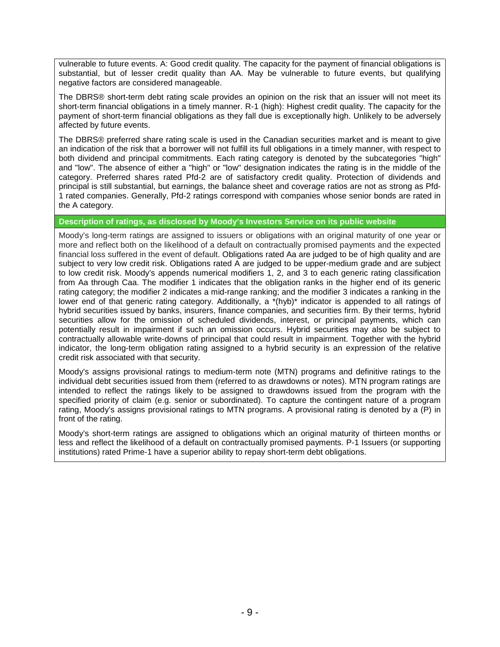vulnerable to future events. A: Good credit quality. The capacity for the payment of financial obligations is substantial, but of lesser credit quality than AA. May be vulnerable to future events, but qualifying negative factors are considered manageable.

The DBRS® short-term debt rating scale provides an opinion on the risk that an issuer will not meet its short-term financial obligations in a timely manner. R-1 (high): Highest credit quality. The capacity for the payment of short-term financial obligations as they fall due is exceptionally high. Unlikely to be adversely affected by future events.

The DBRS® preferred share rating scale is used in the Canadian securities market and is meant to give an indication of the risk that a borrower will not fulfill its full obligations in a timely manner, with respect to both dividend and principal commitments. Each rating category is denoted by the subcategories "high" and "low". The absence of either a "high" or "low" designation indicates the rating is in the middle of the category. Preferred shares rated Pfd-2 are of satisfactory credit quality. Protection of dividends and principal is still substantial, but earnings, the balance sheet and coverage ratios are not as strong as Pfd-1 rated companies. Generally, Pfd-2 ratings correspond with companies whose senior bonds are rated in the A category.

# **Description of ratings, as disclosed by Moody's Investors Service on its public website**

Moody's long-term ratings are assigned to issuers or obligations with an original maturity of one year or more and reflect both on the likelihood of a default on contractually promised payments and the expected financial loss suffered in the event of default. Obligations rated Aa are judged to be of high quality and are subject to very low credit risk. Obligations rated A are judged to be upper-medium grade and are subject to low credit risk. Moody's appends numerical modifiers 1, 2, and 3 to each generic rating classification from Aa through Caa. The modifier 1 indicates that the obligation ranks in the higher end of its generic rating category; the modifier 2 indicates a mid-range ranking; and the modifier 3 indicates a ranking in the lower end of that generic rating category. Additionally, a \*(hyb)\* indicator is appended to all ratings of hybrid securities issued by banks, insurers, finance companies, and securities firm. By their terms, hybrid securities allow for the omission of scheduled dividends, interest, or principal payments, which can potentially result in impairment if such an omission occurs. Hybrid securities may also be subject to contractually allowable write-downs of principal that could result in impairment. Together with the hybrid indicator, the long-term obligation rating assigned to a hybrid security is an expression of the relative credit risk associated with that security.

Moody's assigns provisional ratings to medium-term note (MTN) programs and definitive ratings to the individual debt securities issued from them (referred to as drawdowns or notes). MTN program ratings are intended to reflect the ratings likely to be assigned to drawdowns issued from the program with the specified priority of claim (e.g. senior or subordinated). To capture the contingent nature of a program rating, Moody's assigns provisional ratings to MTN programs. A provisional rating is denoted by a (P) in front of the rating.

Moody's short-term ratings are assigned to obligations which an original maturity of thirteen months or less and reflect the likelihood of a default on contractually promised payments. P-1 Issuers (or supporting institutions) rated Prime-1 have a superior ability to repay short-term debt obligations.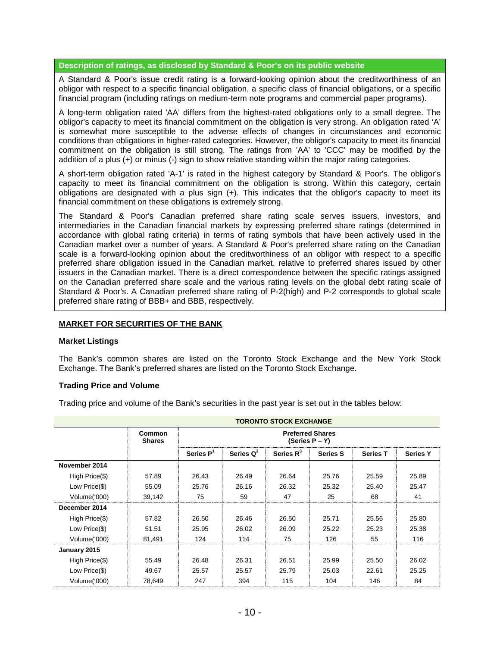# **Description of ratings, as disclosed by Standard & Poor's on its public website**

A Standard & Poor's issue credit rating is a forward-looking opinion about the creditworthiness of an obligor with respect to a specific financial obligation, a specific class of financial obligations, or a specific financial program (including ratings on medium-term note programs and commercial paper programs).

A long-term obligation rated 'AA' differs from the highest-rated obligations only to a small degree. The obligor's capacity to meet its financial commitment on the obligation is very strong. An obligation rated 'A' is somewhat more susceptible to the adverse effects of changes in circumstances and economic conditions than obligations in higher-rated categories. However, the obligor's capacity to meet its financial commitment on the obligation is still strong. The ratings from 'AA' to 'CCC' may be modified by the addition of a plus (+) or minus (-) sign to show relative standing within the major rating categories.

A short-term obligation rated 'A-1' is rated in the highest category by Standard & Poor's. The obligor's capacity to meet its financial commitment on the obligation is strong. Within this category, certain obligations are designated with a plus sign (+). This indicates that the obligor's capacity to meet its financial commitment on these obligations is extremely strong.

The Standard & Poor's Canadian preferred share rating scale serves issuers, investors, and intermediaries in the Canadian financial markets by expressing preferred share ratings (determined in accordance with global rating criteria) in terms of rating symbols that have been actively used in the Canadian market over a number of years. A Standard & Poor's preferred share rating on the Canadian scale is a forward-looking opinion about the creditworthiness of an obligor with respect to a specific preferred share obligation issued in the Canadian market, relative to preferred shares issued by other issuers in the Canadian market. There is a direct correspondence between the specific ratings assigned on the Canadian preferred share scale and the various rating levels on the global debt rating scale of Standard & Poor's. A Canadian preferred share rating of P-2(high) and P-2 corresponds to global scale preferred share rating of BBB+ and BBB, respectively.

# **MARKET FOR SECURITIES OF THE BANK**

#### **Market Listings**

The Bank's common shares are listed on the Toronto Stock Exchange and the New York Stock Exchange. The Bank's preferred shares are listed on the Toronto Stock Exchange.

#### **Trading Price and Volume**

Trading price and volume of the Bank's securities in the past year is set out in the tables below:

| <b>TORONTO STOCK EXCHANGE</b> |                                |             |              |                                           |                 |                 |                 |
|-------------------------------|--------------------------------|-------------|--------------|-------------------------------------------|-----------------|-----------------|-----------------|
|                               | <b>Common</b><br><b>Shares</b> |             |              | <b>Preferred Shares</b><br>(Series P – Y) |                 |                 |                 |
|                               |                                | Series $P1$ | Series $Q^2$ | Series $R^3$                              | <b>Series S</b> | <b>Series T</b> | <b>Series Y</b> |
| November 2014                 |                                |             |              |                                           |                 |                 |                 |
| High Price(\$)                | 57.89                          | 26.43       | 26.49        | 26.64                                     | 25.76           | 25.59           | 25.89           |
| Low Price(\$)                 | 55.09                          | 25.76       | 26.16        | 26.32                                     | 25.32           | 25.40           | 25.47           |
| Volume('000)                  | 39,142                         | 75          | 59           | 47                                        | 25              | 68              | 41              |
| December 2014                 |                                |             |              |                                           |                 |                 |                 |
| High Price(\$)                | 57.82                          | 26.50       | 26.46        | 26.50                                     | 25.71           | 25.56           | 25.80           |
| Low Price(\$)                 | 51.51                          | 25.95       | 26.02        | 26.09                                     | 25.22           | 25.23           | 25.38           |
| Volume('000)                  | 81,491                         | 124         | 114          | 75                                        | 126             | 55              | 116             |
| January 2015                  |                                |             |              |                                           |                 |                 |                 |
| High Price(\$)                | 55.49                          | 26.48       | 26.31        | 26.51                                     | 25.99           | 25.50           | 26.02           |
| Low Price(\$)                 | 49.67                          | 25.57       | 25.57        | 25.79                                     | 25.03           | 22.61           | 25.25           |
| Volume('000)                  | 78,649                         | 247         | 394          | 115                                       | 104             | 146             | 84              |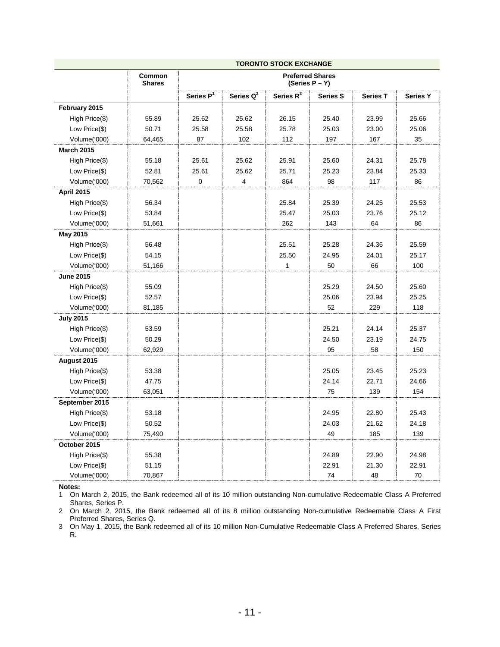|                   |                                |                       |                                           | <b>TORONTO STOCK EXCHANGE</b> |                 |                 |                 |
|-------------------|--------------------------------|-----------------------|-------------------------------------------|-------------------------------|-----------------|-----------------|-----------------|
|                   | <b>Common</b><br><b>Shares</b> |                       | <b>Preferred Shares</b><br>(Series P – Y) |                               |                 |                 |                 |
|                   |                                | Series P <sup>1</sup> | Series $Q^2$                              | Series R <sup>3</sup>         | <b>Series S</b> | <b>Series T</b> | <b>Series Y</b> |
| February 2015     |                                |                       |                                           |                               |                 |                 |                 |
| High Price(\$)    | 55.89                          | 25.62                 | 25.62                                     | 26.15                         | 25.40           | 23.99           | 25.66           |
| Low Price(\$)     | 50.71                          | 25.58                 | 25.58                                     | 25.78                         | 25.03           | 23.00           | 25.06           |
| Volume('000)      | 64,465                         | 87                    | 102                                       | 112                           | 197             | 167             | 35              |
| <b>March 2015</b> |                                |                       |                                           |                               |                 |                 |                 |
| High Price(\$)    | 55.18                          | 25.61                 | 25.62                                     | 25.91                         | 25.60           | 24.31           | 25.78           |
| Low Price(\$)     | 52.81                          | 25.61                 | 25.62                                     | 25.71                         | 25.23           | 23.84           | 25.33           |
| Volume('000)      | 70,562                         | 0                     | 4                                         | 864                           | 98              | 117             | 86              |
| April 2015        |                                |                       |                                           |                               |                 |                 |                 |
| High Price(\$)    | 56.34                          |                       |                                           | 25.84                         | 25.39           | 24.25           | 25.53           |
| Low Price(\$)     | 53.84                          |                       |                                           | 25.47                         | 25.03           | 23.76           | 25.12           |
| Volume('000)      | 51,661                         |                       |                                           | 262                           | 143             | 64              | 86              |
| May 2015          |                                |                       |                                           |                               |                 |                 |                 |
| High Price(\$)    | 56.48                          |                       |                                           | 25.51                         | 25.28           | 24.36           | 25.59           |
| Low Price(\$)     | 54.15                          |                       |                                           | 25.50                         | 24.95           | 24.01           | 25.17           |
| Volume('000)      | 51,166                         |                       |                                           | 1                             | 50              | 66              | 100             |
| <b>June 2015</b>  |                                |                       |                                           |                               |                 |                 |                 |
| High Price(\$)    | 55.09                          |                       |                                           |                               | 25.29           | 24.50           | 25.60           |
| Low Price(\$)     | 52.57                          |                       |                                           |                               | 25.06           | 23.94           | 25.25           |
| Volume('000)      | 81,185                         |                       |                                           |                               | 52              | 229             | 118             |
| <b>July 2015</b>  |                                |                       |                                           |                               |                 |                 |                 |
| High Price(\$)    | 53.59                          |                       |                                           |                               | 25.21           | 24.14           | 25.37           |
| Low Price(\$)     | 50.29                          |                       |                                           |                               | 24.50           | 23.19           | 24.75           |
| Volume('000)      | 62,929                         |                       |                                           |                               | 95              | 58              | 150             |
| August 2015       |                                |                       |                                           |                               |                 |                 |                 |
| High Price(\$)    | 53.38                          |                       |                                           |                               | 25.05           | 23.45           | 25.23           |
| Low Price(\$)     | 47.75                          |                       |                                           |                               | 24.14           | 22.71           | 24.66           |
| Volume('000)      | 63,051                         |                       |                                           |                               | 75              | 139             | 154             |
| September 2015    |                                |                       |                                           |                               |                 |                 |                 |
| High Price(\$)    | 53.18                          |                       |                                           |                               | 24.95           | 22.80           | 25.43           |
| Low Price(\$)     | 50.52                          |                       |                                           |                               | 24.03           | 21.62           | 24.18           |
| Volume('000)      | 75,490                         |                       |                                           |                               | 49              | 185             | 139             |
| October 2015      |                                |                       |                                           |                               |                 |                 |                 |
| High Price(\$)    | 55.38                          |                       |                                           |                               | 24.89           | 22.90           | 24.98           |
| Low Price(\$)     | 51.15                          |                       |                                           |                               | 22.91           | 21.30           | 22.91           |
| Volume('000)      | 70,867                         |                       |                                           |                               | 74              | 48              | 70              |

**Notes:**

1 On March 2, 2015, the Bank redeemed all of its 10 million outstanding Non-cumulative Redeemable Class A Preferred Shares, Series P.

2 On March 2, 2015, the Bank redeemed all of its 8 million outstanding Non-cumulative Redeemable Class A First Preferred Shares, Series Q.

3 On May 1, 2015, the Bank redeemed all of its 10 million Non-Cumulative Redeemable Class A Preferred Shares, Series R.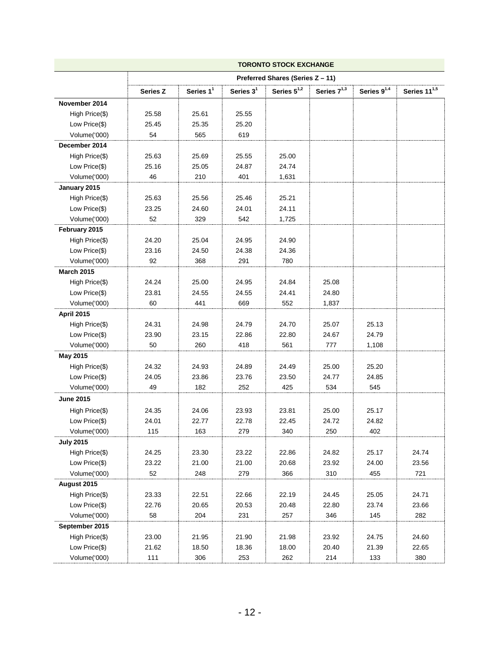|                   |                 |                       |             | <b>TORONTO STOCK EXCHANGE</b>  |                  |             |                          |
|-------------------|-----------------|-----------------------|-------------|--------------------------------|------------------|-------------|--------------------------|
|                   |                 |                       |             | Preferred Shares (Series Z-11) |                  |             |                          |
|                   | <b>Series Z</b> | Series 1 <sup>1</sup> | Series $31$ | Series $5^{1,2}$               | Series $7^{1,3}$ | Series 91.4 | Series 11 <sup>1,5</sup> |
| November 2014     |                 |                       |             |                                |                  |             |                          |
| High Price(\$)    | 25.58           | 25.61                 | 25.55       |                                |                  |             |                          |
| Low Price(\$)     | 25.45           | 25.35                 | 25.20       |                                |                  |             |                          |
| Volume('000)      | 54              | 565                   | 619         |                                |                  |             |                          |
| December 2014     |                 |                       |             |                                |                  |             |                          |
| High Price(\$)    | 25.63           | 25.69                 | 25.55       | 25.00                          |                  |             |                          |
| Low Price(\$)     | 25.16           | 25.05                 | 24.87       | 24.74                          |                  |             |                          |
| Volume('000)      | 46              | 210                   | 401         | 1,631                          |                  |             |                          |
| January 2015      |                 |                       |             |                                |                  |             |                          |
| High Price(\$)    | 25.63           | 25.56                 | 25.46       | 25.21                          |                  |             |                          |
| Low Price(\$)     | 23.25           | 24.60                 | 24.01       | 24.11                          |                  |             |                          |
| Volume('000)      | 52              | 329                   | 542         | 1,725                          |                  |             |                          |
| February 2015     |                 |                       |             |                                |                  |             |                          |
| High Price(\$)    | 24.20           | 25.04                 | 24.95       | 24.90                          |                  |             |                          |
| Low Price(\$)     | 23.16           | 24.50                 | 24.38       | 24.36                          |                  |             |                          |
| Volume('000)      | 92              | 368                   | 291         | 780                            |                  |             |                          |
| <b>March 2015</b> |                 |                       |             |                                |                  |             |                          |
| High Price(\$)    | 24.24           | 25.00                 | 24.95       | 24.84                          | 25.08            |             |                          |
| Low Price(\$)     | 23.81           | 24.55                 | 24.55       | 24.41                          | 24.80            |             |                          |
| Volume('000)      | 60              | 441                   | 669         | 552                            | 1,837            |             |                          |
| <b>April 2015</b> |                 |                       |             |                                |                  |             |                          |
| High Price(\$)    | 24.31           | 24.98                 | 24.79       | 24.70                          | 25.07            | 25.13       |                          |
| Low Price(\$)     | 23.90           | 23.15                 | 22.86       | 22.80                          | 24.67            | 24.79       |                          |
| Volume('000)      | 50              | 260                   | 418         | 561                            | 777              | 1,108       |                          |
| May 2015          |                 |                       |             |                                |                  |             |                          |
| High Price(\$)    | 24.32           | 24.93                 | 24.89       | 24.49                          | 25.00            | 25.20       |                          |
| Low Price(\$)     | 24.05           | 23.86                 | 23.76       | 23.50                          | 24.77            | 24.85       |                          |
| Volume('000)      | 49              | 182                   | 252         | 425                            | 534              | 545         |                          |
| <b>June 2015</b>  |                 |                       |             |                                |                  |             |                          |
| High Price(\$)    | 24.35           | 24.06                 | 23.93       | 23.81                          | 25.00            | 25.17       |                          |
| Low Price(\$)     | 24.01           | 22.77                 | 22.78       | 22.45                          | 24.72            | 24.82       |                          |
| Volume('000)      | 115             | 163                   | 279         | 340                            | 250              | 402         |                          |
| <b>July 2015</b>  |                 |                       |             |                                |                  |             |                          |
| High Price(\$)    | 24.25           | 23.30                 | 23.22       | 22.86                          | 24.82            | 25.17       | 24.74                    |
| Low Price(\$)     | 23.22           | 21.00                 | 21.00       | 20.68                          | 23.92            | 24.00       | 23.56                    |
| Volume('000)      | 52              | 248                   | 279         | 366                            | 310              | 455         | 721                      |
| August 2015       |                 |                       |             |                                |                  |             |                          |
| High Price(\$)    | 23.33           | 22.51                 | 22.66       | 22.19                          | 24.45            | 25.05       | 24.71                    |
| Low Price(\$)     | 22.76           | 20.65                 | 20.53       | 20.48                          | 22.80            | 23.74       | 23.66                    |
| Volume('000)      | 58              | 204                   | 231         | 257                            | 346              | 145         | 282                      |
| September 2015    |                 |                       |             |                                |                  |             |                          |
| High Price(\$)    | 23.00           | 21.95                 | 21.90       | 21.98                          | 23.92            | 24.75       | 24.60                    |
| Low Price(\$)     | 21.62           | 18.50                 | 18.36       | 18.00                          | 20.40            | 21.39       | 22.65                    |
| Volume('000)      | 111             | 306                   | 253         | 262                            | 214              | 133         | 380                      |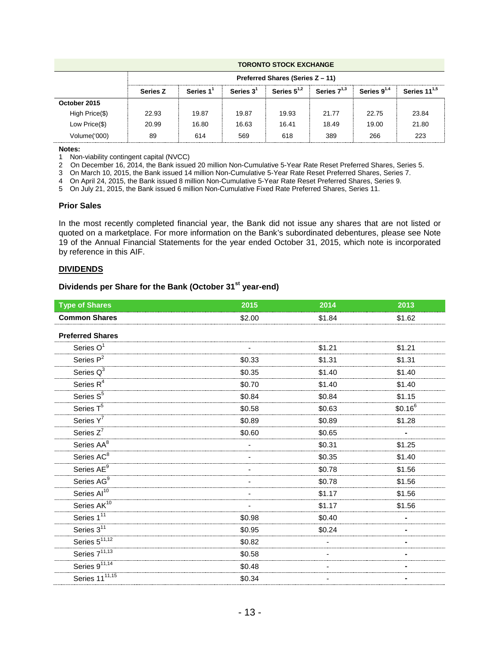|                |                 |                                  |             | <b>TORONTO STOCK EXCHANGE</b> |                  |                  |                   |
|----------------|-----------------|----------------------------------|-------------|-------------------------------|------------------|------------------|-------------------|
|                |                 | Preferred Shares (Series Z - 11) |             |                               |                  |                  |                   |
|                | <b>Series Z</b> | Series $1^1$                     | Series $31$ | Series $5^{1,2}$              | Series $7^{1,3}$ | Series $9^{1.4}$ | Series $11^{1,5}$ |
| October 2015   |                 |                                  |             |                               |                  |                  |                   |
| High Price(\$) | 22.93           | 19.87                            | 19.87       | 19.93                         | 21.77            | 22.75            | 23.84             |
| Low Price(\$)  | 20.99           | 16.80                            | 16.63       | 16.41                         | 18.49            | 19.00            | 21.80             |
| Volume('000)   | 89              | 614                              | 569         | 618                           | 389              | 266              | 223               |

**Notes:**

1 Non-viability contingent capital (NVCC)

2 On December 16, 2014, the Bank issued 20 million Non-Cumulative 5-Year Rate Reset Preferred Shares, Series 5.

3 On March 10, 2015, the Bank issued 14 million Non-Cumulative 5-Year Rate Reset Preferred Shares, Series 7.

4 On April 24, 2015, the Bank issued 8 million Non-Cumulative 5-Year Rate Reset Preferred Shares, Series 9.

5 On July 21, 2015, the Bank issued 6 million Non-Cumulative Fixed Rate Preferred Shares, Series 11.

#### **Prior Sales**

In the most recently completed financial year, the Bank did not issue any shares that are not listed or quoted on a marketplace. For more information on the Bank's subordinated debentures, please see Note 19 of the Annual Financial Statements for the year ended October 31, 2015, which note is incorporated by reference in this AIF.

#### **DIVIDENDS**

# **Dividends per Share for the Bank (October 31st year-end)**

| <b>Type of Shares</b>      | 2015   | 2014   | 2013           |
|----------------------------|--------|--------|----------------|
| <b>Common Shares</b>       | \$2.00 | \$1.84 | \$1.62         |
| <b>Preferred Shares</b>    |        |        |                |
| Series O <sup>1</sup>      |        | \$1.21 | \$1.21         |
| Series $P2$                | \$0.33 | \$1.31 | \$1.31         |
| Series $Q^3$               | \$0.35 | \$1.40 | \$1.40         |
| Series R <sup>4</sup>      | \$0.70 | \$1.40 | \$1.40         |
| Series S <sup>5</sup>      | \$0.84 | \$0.84 | \$1.15         |
| Series T <sup>5</sup>      | \$0.58 | \$0.63 | $$0.16^6$      |
| Series Y <sup>7</sup>      | \$0.89 | \$0.89 | \$1.28         |
| Series $Z^7$               | \$0.60 | \$0.65 |                |
| Series AA <sup>8</sup>     |        | \$0.31 | \$1.25         |
| Series AC <sup>8</sup>     |        | \$0.35 | \$1.40         |
| Series AE <sup>9</sup>     |        | \$0.78 | \$1.56         |
| Series AG <sup>9</sup>     |        | \$0.78 | \$1.56         |
| Series Al <sup>10</sup>    |        | \$1.17 | \$1.56         |
| Series AK <sup>10</sup>    |        | \$1.17 | \$1.56         |
| Series 1 <sup>11</sup>     | \$0.98 | \$0.40 |                |
| Series $3^{11}$            | \$0.95 | \$0.24 |                |
| Series $5^{11,12}$         | \$0.82 |        |                |
| Series $7^{11,13}$         | \$0.58 |        |                |
| Series 9 <sup>11,14</sup>  | \$0.48 |        | $\blacksquare$ |
| Series 11 <sup>11,15</sup> | \$0.34 |        |                |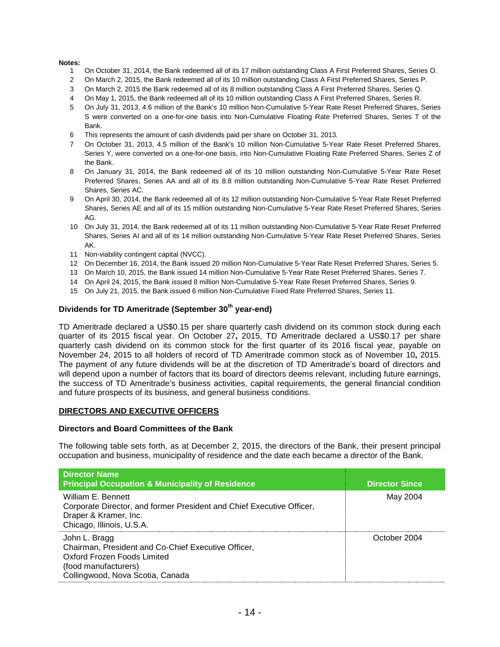# **Notes:**

- 1 On October 31, 2014, the Bank redeemed all of its 17 million outstanding Class A First Preferred Shares, Series O.
- 2 On March 2, 2015, the Bank redeemed all of its 10 million outstanding Class A First Preferred Shares, Series P.
- 3 On March 2, 2015 the Bank redeemed all of its 8 million outstanding Class A First Preferred Shares, Series Q.
- 4 On May 1, 2015, the Bank redeemed all of its 10 million outstanding Class A First Preferred Shares, Series R.
- 5 On July 31, 2013, 4.6 million of the Bank's 10 million Non-Cumulative 5-Year Rate Reset Preferred Shares, Series S were converted on a one-for-one basis into Non-Cumulative Floating Rate Preferred Shares, Series T of the Bank.
- 6 This represents the amount of cash dividends paid per share on October 31, 2013.
- 7 On October 31, 2013, 4.5 million of the Bank's 10 million Non-Cumulative 5-Year Rate Reset Preferred Shares, Series Y, were converted on a one-for-one basis, into Non-Cumulative Floating Rate Preferred Shares, Series Z of the Bank.
- 8 On January 31, 2014, the Bank redeemed all of its 10 million outstanding Non-Cumulative 5-Year Rate Reset Preferred Shares, Series AA and all of its 8.8 million outstanding Non-Cumulative 5-Year Rate Reset Preferred Shares, Series AC.
- 9 On April 30, 2014, the Bank redeemed all of its 12 million outstanding Non-Cumulative 5-Year Rate Reset Preferred Shares, Series AE and all of its 15 million outstanding Non-Cumulative 5-Year Rate Reset Preferred Shares, Series AG.
- 10 On July 31, 2014, the Bank redeemed all of its 11 million outstanding Non-Cumulative 5-Year Rate Reset Preferred Shares, Series AI and all of its 14 million outstanding Non-Cumulative 5-Year Rate Reset Preferred Shares, Series AK.
- 11 Non-viability contingent capital (NVCC).
- 12 On December 16, 2014, the Bank issued 20 million Non-Cumulative 5-Year Rate Reset Preferred Shares, Series 5.
- 13 On March 10, 2015, the Bank issued 14 million Non-Cumulative 5-Year Rate Reset Preferred Shares, Series 7.
- 14 On April 24, 2015, the Bank issued 8 million Non-Cumulative 5-Year Rate Reset Preferred Shares, Series 9.
- 15 On July 21, 2015, the Bank issued 6 million Non-Cumulative Fixed Rate Preferred Shares, Series 11.

#### **Dividends for TD Ameritrade (September 30th year-end)**

TD Ameritrade declared a US\$0.15 per share quarterly cash dividend on its common stock during each quarter of its 2015 fiscal year. On October 27**,** 2015, TD Ameritrade declared a US\$0.17 per share quarterly cash dividend on its common stock for the first quarter of its 2016 fiscal year, payable on November 24, 2015 to all holders of record of TD Ameritrade common stock as of November 10**,** 2015. The payment of any future dividends will be at the discretion of TD Ameritrade's board of directors and will depend upon a number of factors that its board of directors deems relevant, including future earnings, the success of TD Ameritrade's business activities, capital requirements, the general financial condition and future prospects of its business, and general business conditions.

#### **DIRECTORS AND EXECUTIVE OFFICERS**

#### **Directors and Board Committees of the Bank**

The following table sets forth, as at December 2, 2015, the directors of the Bank, their present principal occupation and business, municipality of residence and the date each became a director of the Bank.

| <b>Director Name</b><br><b>Principal Occupation &amp; Municipality of Residence</b>                                                                             | <b>Director Since</b> |
|-----------------------------------------------------------------------------------------------------------------------------------------------------------------|-----------------------|
| William E. Bennett<br>Corporate Director, and former President and Chief Executive Officer,<br>Draper & Kramer, Inc.<br>Chicago, Illinois, U.S.A.               | May 2004              |
| John L. Bragg<br>Chairman, President and Co-Chief Executive Officer,<br>Oxford Frozen Foods Limited<br>(food manufacturers)<br>Collingwood, Nova Scotia, Canada | October 2004          |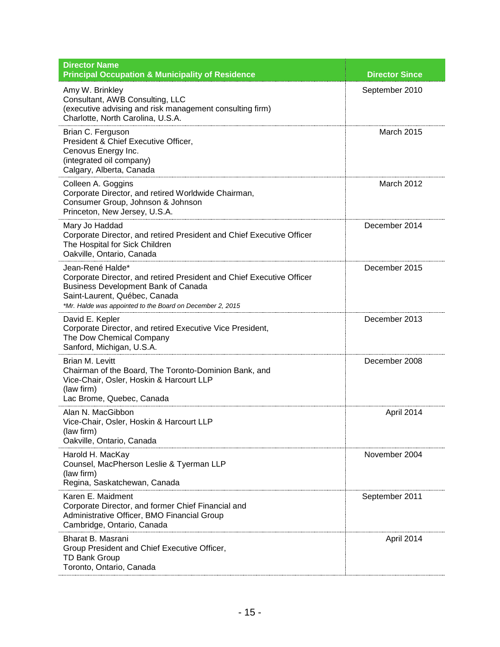| <b>Director Name</b>                                                                                                                                                                                                                  |                                         |
|---------------------------------------------------------------------------------------------------------------------------------------------------------------------------------------------------------------------------------------|-----------------------------------------|
| <b>Principal Occupation &amp; Municipality of Residence</b><br>Amy W. Brinkley<br>Consultant, AWB Consulting, LLC<br>(executive advising and risk management consulting firm)<br>Charlotte, North Carolina, U.S.A.                    | <b>Director Since</b><br>September 2010 |
| Brian C. Ferguson<br>President & Chief Executive Officer,<br>Cenovus Energy Inc.<br>(integrated oil company)<br>Calgary, Alberta, Canada                                                                                              | <b>March 2015</b>                       |
| Colleen A. Goggins<br>Corporate Director, and retired Worldwide Chairman,<br>Consumer Group, Johnson & Johnson<br>Princeton, New Jersey, U.S.A.                                                                                       | March 2012                              |
| Mary Jo Haddad<br>Corporate Director, and retired President and Chief Executive Officer<br>The Hospital for Sick Children<br>Oakville, Ontario, Canada                                                                                | December 2014                           |
| Jean-René Halde*<br>Corporate Director, and retired President and Chief Executive Officer<br><b>Business Development Bank of Canada</b><br>Saint-Laurent, Québec, Canada<br>*Mr. Halde was appointed to the Board on December 2, 2015 | December 2015                           |
| David E. Kepler<br>Corporate Director, and retired Executive Vice President,<br>The Dow Chemical Company<br>Sanford, Michigan, U.S.A.                                                                                                 | December 2013                           |
| Brian M. Levitt<br>Chairman of the Board, The Toronto-Dominion Bank, and<br>Vice-Chair, Osler, Hoskin & Harcourt LLP<br>(law firm)<br>Lac Brome, Quebec, Canada                                                                       | December 2008                           |
| Alan N. MacGibbon<br>Vice-Chair, Osler, Hoskin & Harcourt LLP<br>(law firm)<br>Oakville, Ontario, Canada                                                                                                                              | April 2014                              |
| Harold H. MacKay<br>Counsel, MacPherson Leslie & Tyerman LLP<br>(law firm)<br>Regina, Saskatchewan, Canada                                                                                                                            | November 2004                           |
| Karen E. Maidment<br>Corporate Director, and former Chief Financial and<br>Administrative Officer, BMO Financial Group<br>Cambridge, Ontario, Canada                                                                                  | September 2011                          |
| Bharat B. Masrani<br>Group President and Chief Executive Officer,<br><b>TD Bank Group</b><br>Toronto, Ontario, Canada                                                                                                                 | April 2014                              |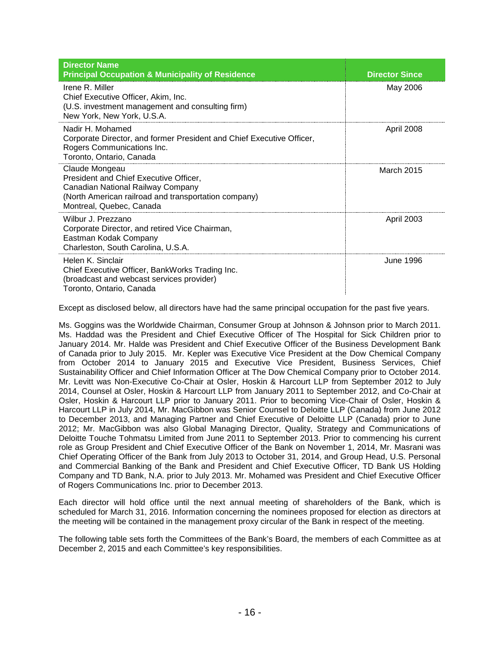| <b>Director Name</b><br><b>Principal Occupation &amp; Municipality of Residence</b>                                                                                               | <b>Director Since</b> |
|-----------------------------------------------------------------------------------------------------------------------------------------------------------------------------------|-----------------------|
| Irene R Miller<br>Chief Executive Officer, Akim, Inc.<br>(U.S. investment management and consulting firm)<br>New York, New York, U.S.A.                                           | May 2006              |
| Nadir H. Mohamed<br>Corporate Director, and former President and Chief Executive Officer,<br>Rogers Communications Inc.<br>Toronto, Ontario, Canada                               | April 2008            |
| Claude Mongeau<br>President and Chief Executive Officer,<br>Canadian National Railway Company<br>(North American railroad and transportation company)<br>Montreal, Quebec, Canada | March 2015            |
| Wilbur J. Prezzano<br>Corporate Director, and retired Vice Chairman,<br>Eastman Kodak Company<br>Charleston, South Carolina, U.S.A.                                               | <b>April 2003</b>     |
| Helen K. Sinclair<br>Chief Executive Officer, BankWorks Trading Inc.<br>(broadcast and webcast services provider)<br>Toronto, Ontario, Canada                                     | <b>June 1996</b>      |

Except as disclosed below, all directors have had the same principal occupation for the past five years.

Ms. Goggins was the Worldwide Chairman, Consumer Group at Johnson & Johnson prior to March 2011. Ms. Haddad was the President and Chief Executive Officer of The Hospital for Sick Children prior to January 2014. Mr. Halde was President and Chief Executive Officer of the Business Development Bank of Canada prior to July 2015. Mr. Kepler was Executive Vice President at the Dow Chemical Company from October 2014 to January 2015 and Executive Vice President, Business Services, Chief Sustainability Officer and Chief Information Officer at The Dow Chemical Company prior to October 2014. Mr. Levitt was Non-Executive Co-Chair at Osler, Hoskin & Harcourt LLP from September 2012 to July 2014, Counsel at Osler, Hoskin & Harcourt LLP from January 2011 to September 2012, and Co-Chair at Osler, Hoskin & Harcourt LLP prior to January 2011. Prior to becoming Vice-Chair of Osler, Hoskin & Harcourt LLP in July 2014, Mr. MacGibbon was Senior Counsel to Deloitte LLP (Canada) from June 2012 to December 2013, and Managing Partner and Chief Executive of Deloitte LLP (Canada) prior to June 2012; Mr. MacGibbon was also Global Managing Director, Quality, Strategy and Communications of Deloitte Touche Tohmatsu Limited from June 2011 to September 2013. Prior to commencing his current role as Group President and Chief Executive Officer of the Bank on November 1, 2014, Mr. Masrani was Chief Operating Officer of the Bank from July 2013 to October 31, 2014, and Group Head, U.S. Personal and Commercial Banking of the Bank and President and Chief Executive Officer, TD Bank US Holding Company and TD Bank, N.A. prior to July 2013. Mr. Mohamed was President and Chief Executive Officer of Rogers Communications Inc. prior to December 2013.

Each director will hold office until the next annual meeting of shareholders of the Bank, which is scheduled for March 31, 2016. Information concerning the nominees proposed for election as directors at the meeting will be contained in the management proxy circular of the Bank in respect of the meeting.

The following table sets forth the Committees of the Bank's Board, the members of each Committee as at December 2, 2015 and each Committee's key responsibilities.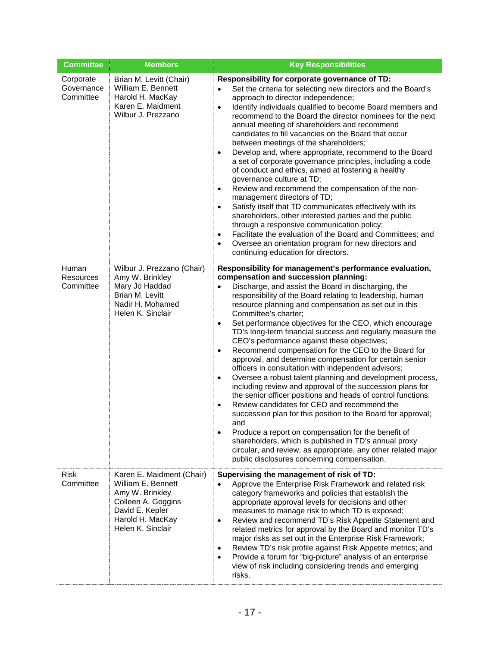| <b>Committee</b>                       | <b>Members</b>                                                                                                                                       | <b>Key Responsibilities</b>                                                                                                                                                                                                                                                                                                                                                                                                                                                                                                                                                                                                                                                                                                                                                                                                                                                                                                                                                                                                                                                                                                                                                                                                                                                          |
|----------------------------------------|------------------------------------------------------------------------------------------------------------------------------------------------------|--------------------------------------------------------------------------------------------------------------------------------------------------------------------------------------------------------------------------------------------------------------------------------------------------------------------------------------------------------------------------------------------------------------------------------------------------------------------------------------------------------------------------------------------------------------------------------------------------------------------------------------------------------------------------------------------------------------------------------------------------------------------------------------------------------------------------------------------------------------------------------------------------------------------------------------------------------------------------------------------------------------------------------------------------------------------------------------------------------------------------------------------------------------------------------------------------------------------------------------------------------------------------------------|
| Corporate<br>Governance<br>Committee   | Brian M. Levitt (Chair)<br>William E. Bennett<br>Harold H. MacKay<br>Karen E. Maidment<br>Wilbur J. Prezzano                                         | Responsibility for corporate governance of TD:<br>Set the criteria for selecting new directors and the Board's<br>$\bullet$<br>approach to director independence;<br>Identify individuals qualified to become Board members and<br>$\bullet$<br>recommend to the Board the director nominees for the next<br>annual meeting of shareholders and recommend<br>candidates to fill vacancies on the Board that occur<br>between meetings of the shareholders;<br>Develop and, where appropriate, recommend to the Board<br>$\bullet$<br>a set of corporate governance principles, including a code<br>of conduct and ethics, aimed at fostering a healthy<br>governance culture at TD;<br>Review and recommend the compensation of the non-<br>$\bullet$<br>management directors of TD;<br>Satisfy itself that TD communicates effectively with its<br>$\bullet$<br>shareholders, other interested parties and the public<br>through a responsive communication policy;<br>Facilitate the evaluation of the Board and Committees; and<br>$\bullet$<br>Oversee an orientation program for new directors and<br>$\bullet$<br>continuing education for directors.                                                                                                                          |
| Human<br><b>Resources</b><br>Committee | Wilbur J. Prezzano (Chair)<br>Amy W. Brinkley<br>Mary Jo Haddad<br>Brian M. Levitt<br>Nadir H. Mohamed<br>Helen K. Sinclair                          | Responsibility for management's performance evaluation,<br>compensation and succession planning:<br>Discharge, and assist the Board in discharging, the<br>$\bullet$<br>responsibility of the Board relating to leadership, human<br>resource planning and compensation as set out in this<br>Committee's charter;<br>Set performance objectives for the CEO, which encourage<br>$\bullet$<br>TD's long-term financial success and regularly measure the<br>CEO's performance against these objectives;<br>Recommend compensation for the CEO to the Board for<br>$\bullet$<br>approval, and determine compensation for certain senior<br>officers in consultation with independent advisors;<br>Oversee a robust talent planning and development process,<br>$\bullet$<br>including review and approval of the succession plans for<br>the senior officer positions and heads of control functions.<br>Review candidates for CEO and recommend the<br>$\bullet$<br>succession plan for this position to the Board for approval;<br>and<br>Produce a report on compensation for the benefit of<br>$\bullet$<br>shareholders, which is published in TD's annual proxy<br>circular, and review, as appropriate, any other related major<br>public disclosures concerning compensation. |
| <b>Risk</b><br>Committee               | Karen E. Maidment (Chair)<br>William E. Bennett<br>Amy W. Brinkley<br>Colleen A. Goggins<br>David E. Kepler<br>Harold H. MacKay<br>Helen K. Sinclair | Supervising the management of risk of TD:<br>Approve the Enterprise Risk Framework and related risk<br>category frameworks and policies that establish the<br>appropriate approval levels for decisions and other<br>measures to manage risk to which TD is exposed;<br>Review and recommend TD's Risk Appetite Statement and<br>$\bullet$<br>related metrics for approval by the Board and monitor TD's<br>major risks as set out in the Enterprise Risk Framework;<br>Review TD's risk profile against Risk Appetite metrics; and<br>$\bullet$<br>Provide a forum for "big-picture" analysis of an enterprise<br>$\bullet$<br>view of risk including considering trends and emerging<br>risks.                                                                                                                                                                                                                                                                                                                                                                                                                                                                                                                                                                                     |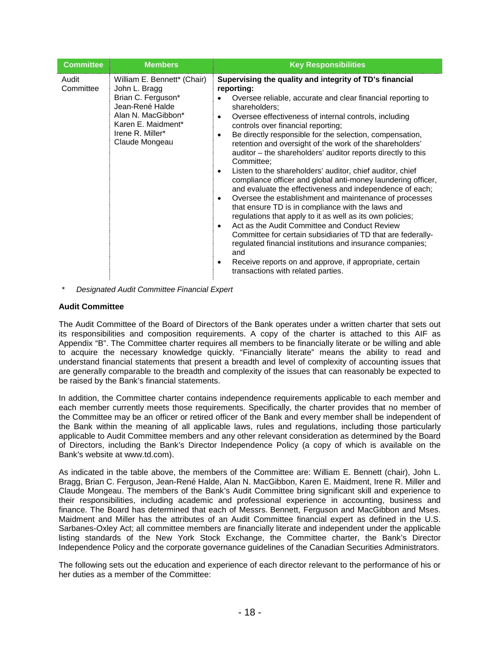| <b>Committee</b>   | <b>Members</b>                                                                                                                                                          | <b>Key Responsibilities</b>                                                                                                                                                                                                                                                                                                                                                                                                                                                                                                                                                                                                                                                                                                                                                                                                                                                                                                                                                                                                                                                                                                                                                                         |
|--------------------|-------------------------------------------------------------------------------------------------------------------------------------------------------------------------|-----------------------------------------------------------------------------------------------------------------------------------------------------------------------------------------------------------------------------------------------------------------------------------------------------------------------------------------------------------------------------------------------------------------------------------------------------------------------------------------------------------------------------------------------------------------------------------------------------------------------------------------------------------------------------------------------------------------------------------------------------------------------------------------------------------------------------------------------------------------------------------------------------------------------------------------------------------------------------------------------------------------------------------------------------------------------------------------------------------------------------------------------------------------------------------------------------|
| Audit<br>Committee | William E. Bennett* (Chair)<br>John L. Bragg<br>Brian C. Ferguson*<br>Jean-René Halde<br>Alan N. MacGibbon*<br>Karen E. Maidment*<br>Irene R. Miller*<br>Claude Mongeau | Supervising the quality and integrity of TD's financial<br>reporting:<br>Oversee reliable, accurate and clear financial reporting to<br>shareholders;<br>Oversee effectiveness of internal controls, including<br>$\bullet$<br>controls over financial reporting;<br>Be directly responsible for the selection, compensation,<br>$\bullet$<br>retention and oversight of the work of the shareholders'<br>auditor – the shareholders' auditor reports directly to this<br>Committee;<br>Listen to the shareholders' auditor, chief auditor, chief<br>$\bullet$<br>compliance officer and global anti-money laundering officer,<br>and evaluate the effectiveness and independence of each;<br>Oversee the establishment and maintenance of processes<br>$\bullet$<br>that ensure TD is in compliance with the laws and<br>regulations that apply to it as well as its own policies;<br>Act as the Audit Committee and Conduct Review<br>$\bullet$<br>Committee for certain subsidiaries of TD that are federally-<br>regulated financial institutions and insurance companies;<br>and<br>Receive reports on and approve, if appropriate, certain<br>$\bullet$<br>transactions with related parties. |

*\* Designated Audit Committee Financial Expert*

# **Audit Committee**

The Audit Committee of the Board of Directors of the Bank operates under a written charter that sets out its responsibilities and composition requirements. A copy of the charter is attached to this AIF as Appendix "B". The Committee charter requires all members to be financially literate or be willing and able to acquire the necessary knowledge quickly. "Financially literate" means the ability to read and understand financial statements that present a breadth and level of complexity of accounting issues that are generally comparable to the breadth and complexity of the issues that can reasonably be expected to be raised by the Bank's financial statements.

In addition, the Committee charter contains independence requirements applicable to each member and each member currently meets those requirements. Specifically, the charter provides that no member of the Committee may be an officer or retired officer of the Bank and every member shall be independent of the Bank within the meaning of all applicable laws, rules and regulations, including those particularly applicable to Audit Committee members and any other relevant consideration as determined by the Board of Directors, including the Bank's Director Independence Policy (a copy of which is available on the Bank's website at www.td.com).

As indicated in the table above, the members of the Committee are: William E. Bennett (chair), John L. Bragg, Brian C. Ferguson, Jean-René Halde, Alan N. MacGibbon, Karen E. Maidment, Irene R. Miller and Claude Mongeau. The members of the Bank's Audit Committee bring significant skill and experience to their responsibilities, including academic and professional experience in accounting, business and finance. The Board has determined that each of Messrs. Bennett, Ferguson and MacGibbon and Mses. Maidment and Miller has the attributes of an Audit Committee financial expert as defined in the U.S. Sarbanes-Oxley Act; all committee members are financially literate and independent under the applicable listing standards of the New York Stock Exchange, the Committee charter, the Bank's Director Independence Policy and the corporate governance guidelines of the Canadian Securities Administrators.

The following sets out the education and experience of each director relevant to the performance of his or her duties as a member of the Committee: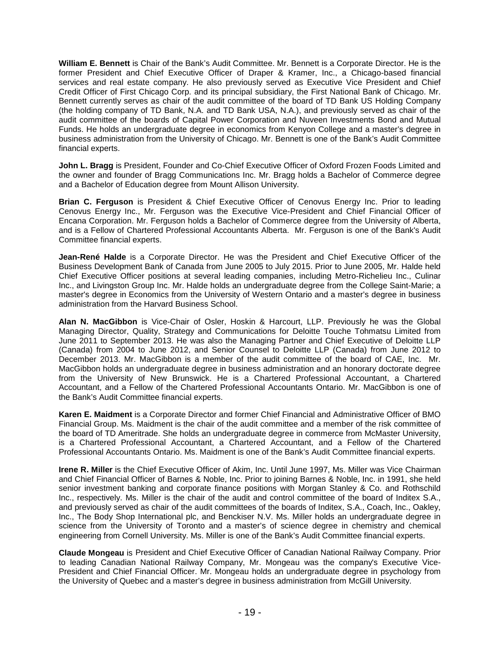**William E. Bennett** is Chair of the Bank's Audit Committee. Mr. Bennett is a Corporate Director. He is the former President and Chief Executive Officer of Draper & Kramer, Inc., a Chicago-based financial services and real estate company. He also previously served as Executive Vice President and Chief Credit Officer of First Chicago Corp. and its principal subsidiary, the First National Bank of Chicago. Mr. Bennett currently serves as chair of the audit committee of the board of TD Bank US Holding Company (the holding company of TD Bank, N.A. and TD Bank USA, N.A.), and previously served as chair of the audit committee of the boards of Capital Power Corporation and Nuveen Investments Bond and Mutual Funds. He holds an undergraduate degree in economics from Kenyon College and a master's degree in business administration from the University of Chicago. Mr. Bennett is one of the Bank's Audit Committee financial experts.

**John L. Bragg** is President, Founder and Co-Chief Executive Officer of Oxford Frozen Foods Limited and the owner and founder of Bragg Communications Inc. Mr. Bragg holds a Bachelor of Commerce degree and a Bachelor of Education degree from Mount Allison University.

**Brian C. Ferguson** is President & Chief Executive Officer of Cenovus Energy Inc. Prior to leading Cenovus Energy Inc., Mr. Ferguson was the Executive Vice-President and Chief Financial Officer of Encana Corporation. Mr. Ferguson holds a Bachelor of Commerce degree from the University of Alberta, and is a Fellow of Chartered Professional Accountants Alberta. Mr. Ferguson is one of the Bank's Audit Committee financial experts.

**Jean-René Halde** is a Corporate Director. He was the President and Chief Executive Officer of the Business Development Bank of Canada from June 2005 to July 2015. Prior to June 2005, Mr. Halde held Chief Executive Officer positions at several leading companies, including Metro-Richelieu Inc., Culinar Inc., and Livingston Group Inc. Mr. Halde holds an undergraduate degree from the College Saint-Marie; a master's degree in Economics from the University of Western Ontario and a master's degree in business administration from the Harvard Business School.

**Alan N. MacGibbon** is Vice-Chair of Osler, Hoskin & Harcourt, LLP. Previously he was the Global Managing Director, Quality, Strategy and Communications for Deloitte Touche Tohmatsu Limited from June 2011 to September 2013. He was also the Managing Partner and Chief Executive of Deloitte LLP (Canada) from 2004 to June 2012, and Senior Counsel to Deloitte LLP (Canada) from June 2012 to December 2013. Mr. MacGibbon is a member of the audit committee of the board of CAE, Inc. Mr. MacGibbon holds an undergraduate degree in business administration and an honorary doctorate degree from the University of New Brunswick. He is a Chartered Professional Accountant, a Chartered Accountant, and a Fellow of the Chartered Professional Accountants Ontario. Mr. MacGibbon is one of the Bank's Audit Committee financial experts.

**Karen E. Maidment** is a Corporate Director and former Chief Financial and Administrative Officer of BMO Financial Group. Ms. Maidment is the chair of the audit committee and a member of the risk committee of the board of TD Ameritrade. She holds an undergraduate degree in commerce from McMaster University, is a Chartered Professional Accountant, a Chartered Accountant, and a Fellow of the Chartered Professional Accountants Ontario. Ms. Maidment is one of the Bank's Audit Committee financial experts.

**Irene R. Miller** is the Chief Executive Officer of Akim, Inc. Until June 1997, Ms. Miller was Vice Chairman and Chief Financial Officer of Barnes & Noble, Inc. Prior to joining Barnes & Noble, Inc. in 1991, she held senior investment banking and corporate finance positions with Morgan Stanley & Co. and Rothschild Inc., respectively. Ms. Miller is the chair of the audit and control committee of the board of Inditex S.A., and previously served as chair of the audit committees of the boards of Inditex, S.A., Coach, Inc., Oakley, Inc., The Body Shop International plc, and Benckiser N.V. Ms. Miller holds an undergraduate degree in science from the University of Toronto and a master's of science degree in chemistry and chemical engineering from Cornell University. Ms. Miller is one of the Bank's Audit Committee financial experts.

**Claude Mongeau** is President and Chief Executive Officer of Canadian National Railway Company. Prior to leading Canadian National Railway Company, Mr. Mongeau was the company's Executive Vice-President and Chief Financial Officer. Mr. Mongeau holds an undergraduate degree in psychology from the University of Quebec and a master's degree in business administration from McGill University.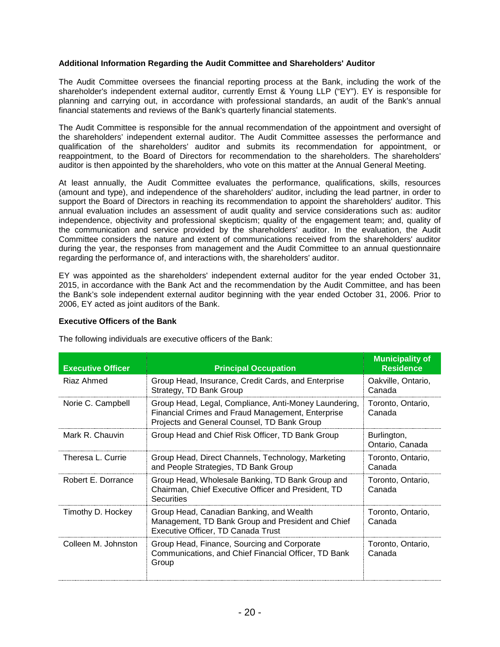# **Additional Information Regarding the Audit Committee and Shareholders' Auditor**

The Audit Committee oversees the financial reporting process at the Bank, including the work of the shareholder's independent external auditor, currently Ernst & Young LLP ("EY"). EY is responsible for planning and carrying out, in accordance with professional standards, an audit of the Bank's annual financial statements and reviews of the Bank's quarterly financial statements.

The Audit Committee is responsible for the annual recommendation of the appointment and oversight of the shareholders' independent external auditor. The Audit Committee assesses the performance and qualification of the shareholders' auditor and submits its recommendation for appointment, or reappointment, to the Board of Directors for recommendation to the shareholders. The shareholders' auditor is then appointed by the shareholders, who vote on this matter at the Annual General Meeting.

At least annually, the Audit Committee evaluates the performance, qualifications, skills, resources (amount and type), and independence of the shareholders' auditor, including the lead partner, in order to support the Board of Directors in reaching its recommendation to appoint the shareholders' auditor. This annual evaluation includes an assessment of audit quality and service considerations such as: auditor independence, objectivity and professional skepticism; quality of the engagement team; and, quality of the communication and service provided by the shareholders' auditor. In the evaluation, the Audit Committee considers the nature and extent of communications received from the shareholders' auditor during the year, the responses from management and the Audit Committee to an annual questionnaire regarding the performance of, and interactions with, the shareholders' auditor.

EY was appointed as the shareholders' independent external auditor for the year ended October 31, 2015, in accordance with the Bank Act and the recommendation by the Audit Committee, and has been the Bank's sole independent external auditor beginning with the year ended October 31, 2006. Prior to 2006, EY acted as joint auditors of the Bank.

# **Executive Officers of the Bank**

| <b>Executive Officer</b> | <b>Principal Occupation</b>                                                                                                                               | <b>Municipality of</b><br><b>Residence</b> |
|--------------------------|-----------------------------------------------------------------------------------------------------------------------------------------------------------|--------------------------------------------|
| Riaz Ahmed               | Group Head, Insurance, Credit Cards, and Enterprise<br>Strategy, TD Bank Group                                                                            | Oakville, Ontario,<br>Canada               |
| Norie C. Campbell        | Group Head, Legal, Compliance, Anti-Money Laundering,<br>Financial Crimes and Fraud Management, Enterprise<br>Projects and General Counsel, TD Bank Group | Toronto, Ontario,<br>Canada                |
| Mark R. Chauvin          | Group Head and Chief Risk Officer, TD Bank Group                                                                                                          | Burlington,<br>Ontario, Canada             |
| Theresa L. Currie        | Group Head, Direct Channels, Technology, Marketing<br>and People Strategies, TD Bank Group                                                                | Toronto, Ontario,<br>Canada                |
| Robert E. Dorrance       | Group Head, Wholesale Banking, TD Bank Group and<br>Chairman, Chief Executive Officer and President, TD<br>Securities                                     | Toronto, Ontario,<br>Canada                |
| Timothy D. Hockey        | Group Head, Canadian Banking, and Wealth<br>Management, TD Bank Group and President and Chief<br>Executive Officer, TD Canada Trust                       | Toronto, Ontario,<br>Canada                |
| Colleen M. Johnston      | Group Head, Finance, Sourcing and Corporate<br>Communications, and Chief Financial Officer, TD Bank<br>Group                                              | Toronto, Ontario,<br>Canada                |

The following individuals are executive officers of the Bank: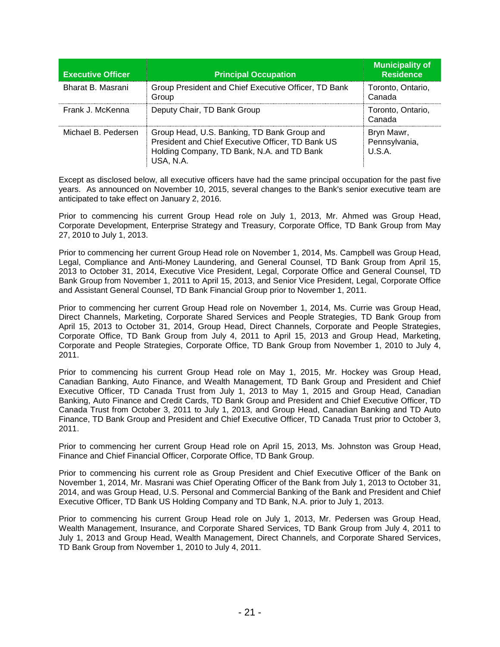| <b>Executive Officer</b> | <b>Principal Occupation</b>                                                                                                                                 | <b>Municipality of</b><br><b>Residence</b> |
|--------------------------|-------------------------------------------------------------------------------------------------------------------------------------------------------------|--------------------------------------------|
| Bharat B. Masrani        | Group President and Chief Executive Officer, TD Bank<br>Group                                                                                               | Toronto, Ontario,<br>Canada                |
| Frank J. McKenna         | Deputy Chair, TD Bank Group                                                                                                                                 | Toronto, Ontario,<br>Canada                |
| Michael B. Pedersen      | Group Head, U.S. Banking, TD Bank Group and<br>President and Chief Executive Officer, TD Bank US<br>Holding Company, TD Bank, N.A. and TD Bank<br>USA. N.A. | Bryn Mawr,<br>Pennsylvania,<br>U.S.A.      |

Except as disclosed below, all executive officers have had the same principal occupation for the past five years. As announced on November 10, 2015, several changes to the Bank's senior executive team are anticipated to take effect on January 2, 2016.

Prior to commencing his current Group Head role on July 1, 2013, Mr. Ahmed was Group Head, Corporate Development, Enterprise Strategy and Treasury, Corporate Office, TD Bank Group from May 27, 2010 to July 1, 2013.

Prior to commencing her current Group Head role on November 1, 2014, Ms. Campbell was Group Head, Legal, Compliance and Anti-Money Laundering, and General Counsel, TD Bank Group from April 15, 2013 to October 31, 2014, Executive Vice President, Legal, Corporate Office and General Counsel, TD Bank Group from November 1, 2011 to April 15, 2013, and Senior Vice President, Legal, Corporate Office and Assistant General Counsel, TD Bank Financial Group prior to November 1, 2011.

Prior to commencing her current Group Head role on November 1, 2014, Ms. Currie was Group Head, Direct Channels, Marketing, Corporate Shared Services and People Strategies, TD Bank Group from April 15, 2013 to October 31, 2014, Group Head, Direct Channels, Corporate and People Strategies, Corporate Office, TD Bank Group from July 4, 2011 to April 15, 2013 and Group Head, Marketing, Corporate and People Strategies, Corporate Office, TD Bank Group from November 1, 2010 to July 4, 2011.

Prior to commencing his current Group Head role on May 1, 2015, Mr. Hockey was Group Head, Canadian Banking, Auto Finance, and Wealth Management, TD Bank Group and President and Chief Executive Officer, TD Canada Trust from July 1, 2013 to May 1, 2015 and Group Head, Canadian Banking, Auto Finance and Credit Cards, TD Bank Group and President and Chief Executive Officer, TD Canada Trust from October 3, 2011 to July 1, 2013, and Group Head, Canadian Banking and TD Auto Finance, TD Bank Group and President and Chief Executive Officer, TD Canada Trust prior to October 3, 2011.

Prior to commencing her current Group Head role on April 15, 2013, Ms. Johnston was Group Head, Finance and Chief Financial Officer, Corporate Office, TD Bank Group.

Prior to commencing his current role as Group President and Chief Executive Officer of the Bank on November 1, 2014, Mr. Masrani was Chief Operating Officer of the Bank from July 1, 2013 to October 31, 2014, and was Group Head, U.S. Personal and Commercial Banking of the Bank and President and Chief Executive Officer, TD Bank US Holding Company and TD Bank, N.A. prior to July 1, 2013.

Prior to commencing his current Group Head role on July 1, 2013, Mr. Pedersen was Group Head, Wealth Management, Insurance, and Corporate Shared Services, TD Bank Group from July 4, 2011 to July 1, 2013 and Group Head, Wealth Management, Direct Channels, and Corporate Shared Services, TD Bank Group from November 1, 2010 to July 4, 2011.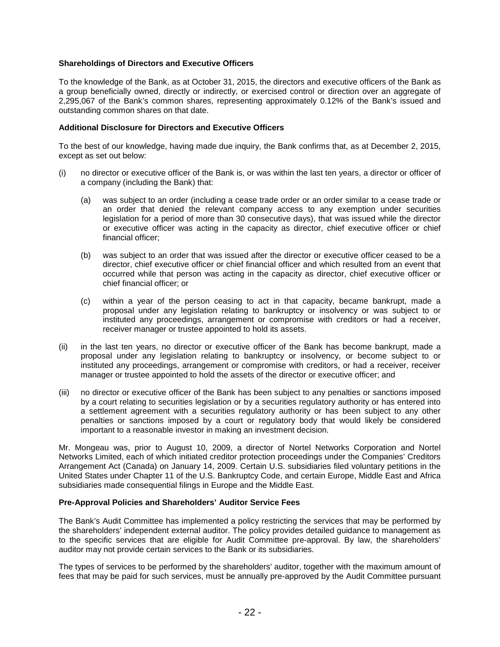# **Shareholdings of Directors and Executive Officers**

To the knowledge of the Bank, as at October 31, 2015, the directors and executive officers of the Bank as a group beneficially owned, directly or indirectly, or exercised control or direction over an aggregate of 2,295,067 of the Bank's common shares, representing approximately 0.12% of the Bank's issued and outstanding common shares on that date.

#### **Additional Disclosure for Directors and Executive Officers**

To the best of our knowledge, having made due inquiry, the Bank confirms that, as at December 2, 2015, except as set out below:

- (i) no director or executive officer of the Bank is, or was within the last ten years, a director or officer of a company (including the Bank) that:
	- (a) was subject to an order (including a cease trade order or an order similar to a cease trade or an order that denied the relevant company access to any exemption under securities legislation for a period of more than 30 consecutive days), that was issued while the director or executive officer was acting in the capacity as director, chief executive officer or chief financial officer;
	- (b) was subject to an order that was issued after the director or executive officer ceased to be a director, chief executive officer or chief financial officer and which resulted from an event that occurred while that person was acting in the capacity as director, chief executive officer or chief financial officer; or
	- (c) within a year of the person ceasing to act in that capacity, became bankrupt, made a proposal under any legislation relating to bankruptcy or insolvency or was subject to or instituted any proceedings, arrangement or compromise with creditors or had a receiver, receiver manager or trustee appointed to hold its assets.
- (ii) in the last ten years, no director or executive officer of the Bank has become bankrupt, made a proposal under any legislation relating to bankruptcy or insolvency, or become subject to or instituted any proceedings, arrangement or compromise with creditors, or had a receiver, receiver manager or trustee appointed to hold the assets of the director or executive officer; and
- (iii) no director or executive officer of the Bank has been subject to any penalties or sanctions imposed by a court relating to securities legislation or by a securities regulatory authority or has entered into a settlement agreement with a securities regulatory authority or has been subject to any other penalties or sanctions imposed by a court or regulatory body that would likely be considered important to a reasonable investor in making an investment decision.

Mr. Mongeau was, prior to August 10, 2009, a director of Nortel Networks Corporation and Nortel Networks Limited, each of which initiated creditor protection proceedings under the Companies' Creditors Arrangement Act (Canada) on January 14, 2009. Certain U.S. subsidiaries filed voluntary petitions in the United States under Chapter 11 of the U.S. Bankruptcy Code, and certain Europe, Middle East and Africa subsidiaries made consequential filings in Europe and the Middle East.

#### **Pre-Approval Policies and Shareholders' Auditor Service Fees**

The Bank's Audit Committee has implemented a policy restricting the services that may be performed by the shareholders' independent external auditor. The policy provides detailed guidance to management as to the specific services that are eligible for Audit Committee pre-approval. By law, the shareholders' auditor may not provide certain services to the Bank or its subsidiaries.

The types of services to be performed by the shareholders' auditor, together with the maximum amount of fees that may be paid for such services, must be annually pre-approved by the Audit Committee pursuant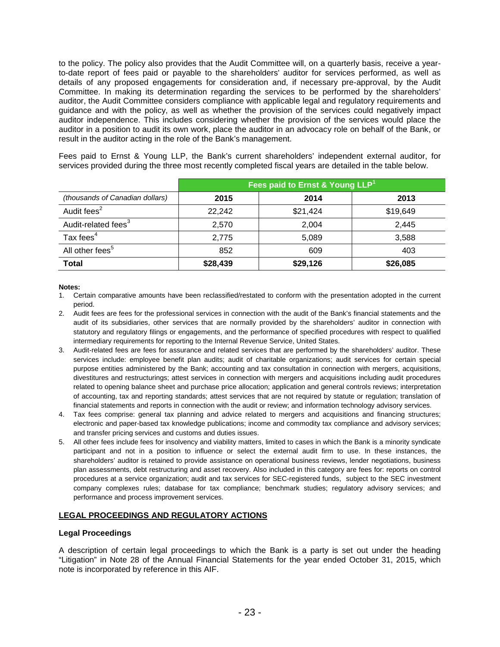to the policy. The policy also provides that the Audit Committee will, on a quarterly basis, receive a yearto-date report of fees paid or payable to the shareholders' auditor for services performed, as well as details of any proposed engagements for consideration and, if necessary pre-approval, by the Audit Committee. In making its determination regarding the services to be performed by the shareholders' auditor, the Audit Committee considers compliance with applicable legal and regulatory requirements and guidance and with the policy, as well as whether the provision of the services could negatively impact auditor independence. This includes considering whether the provision of the services would place the auditor in a position to audit its own work, place the auditor in an advocacy role on behalf of the Bank, or result in the auditor acting in the role of the Bank's management.

Fees paid to Ernst & Young LLP, the Bank's current shareholders' independent external auditor, for services provided during the three most recently completed fiscal years are detailed in the table below.

|                                 | Fees paid to Ernst & Young LLP <sup>1</sup> |          |          |  |
|---------------------------------|---------------------------------------------|----------|----------|--|
| (thousands of Canadian dollars) | 2015                                        | 2014     | 2013     |  |
| Audit fees <sup>2</sup>         | 22,242                                      | \$21,424 | \$19,649 |  |
| Audit-related fees <sup>3</sup> | 2,570                                       | 2,004    | 2,445    |  |
| Tax fees $4$                    | 2,775                                       | 5,089    | 3,588    |  |
| All other fees <sup>5</sup>     | 852                                         | 609      | 403      |  |
| <b>Total</b>                    | \$28,439                                    | \$29,126 | \$26,085 |  |

#### **Notes:**

- 1. Certain comparative amounts have been reclassified/restated to conform with the presentation adopted in the current period.
- 2. Audit fees are fees for the professional services in connection with the audit of the Bank's financial statements and the audit of its subsidiaries, other services that are normally provided by the shareholders' auditor in connection with statutory and regulatory filings or engagements, and the performance of specified procedures with respect to qualified intermediary requirements for reporting to the Internal Revenue Service, United States.
- 3. Audit-related fees are fees for assurance and related services that are performed by the shareholders' auditor. These services include: employee benefit plan audits; audit of charitable organizations; audit services for certain special purpose entities administered by the Bank; accounting and tax consultation in connection with mergers, acquisitions, divestitures and restructurings; attest services in connection with mergers and acquisitions including audit procedures related to opening balance sheet and purchase price allocation; application and general controls reviews; interpretation of accounting, tax and reporting standards; attest services that are not required by statute or regulation; translation of financial statements and reports in connection with the audit or review; and information technology advisory services.
- 4. Tax fees comprise: general tax planning and advice related to mergers and acquisitions and financing structures; electronic and paper-based tax knowledge publications; income and commodity tax compliance and advisory services; and transfer pricing services and customs and duties issues.
- 5. All other fees include fees for insolvency and viability matters, limited to cases in which the Bank is a minority syndicate participant and not in a position to influence or select the external audit firm to use. In these instances, the shareholders' auditor is retained to provide assistance on operational business reviews, lender negotiations, business plan assessments, debt restructuring and asset recovery. Also included in this category are fees for: reports on control procedures at a service organization; audit and tax services for SEC-registered funds, subject to the SEC investment company complexes rules; database for tax compliance; benchmark studies; regulatory advisory services; and performance and process improvement services.

# **LEGAL PROCEEDINGS AND REGULATORY ACTIONS**

#### **Legal Proceedings**

A description of certain legal proceedings to which the Bank is a party is set out under the heading "Litigation" in Note 28 of the Annual Financial Statements for the year ended October 31, 2015, which note is incorporated by reference in this AIF.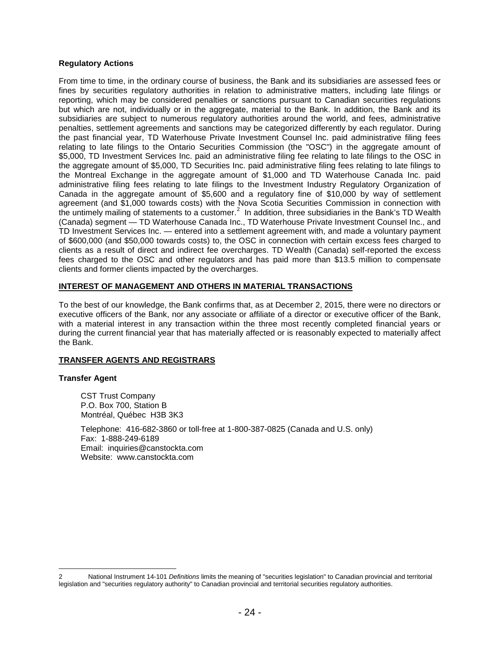# **Regulatory Actions**

From time to time, in the ordinary course of business, the Bank and its subsidiaries are assessed fees or fines by securities regulatory authorities in relation to administrative matters, including late filings or reporting, which may be considered penalties or sanctions pursuant to Canadian securities regulations but which are not, individually or in the aggregate, material to the Bank. In addition, the Bank and its subsidiaries are subject to numerous regulatory authorities around the world, and fees, administrative penalties, settlement agreements and sanctions may be categorized differently by each regulator. During the past financial year, TD Waterhouse Private Investment Counsel Inc. paid administrative filing fees relating to late filings to the Ontario Securities Commission (the "OSC") in the aggregate amount of \$5,000, TD Investment Services Inc. paid an administrative filing fee relating to late filings to the OSC in the aggregate amount of \$5,000, TD Securities Inc. paid administrative filing fees relating to late filings to the Montreal Exchange in the aggregate amount of \$1,000 and TD Waterhouse Canada Inc. paid administrative filing fees relating to late filings to the Investment Industry Regulatory Organization of Canada in the aggregate amount of \$5,600 and a regulatory fine of \$10,000 by way of settlement agreement (and \$1,000 towards costs) with the Nova Scotia Securities Commission in connection with the untimely mailing of statements to a customer.<sup>[2](#page-23-0)</sup> In addition, three subsidiaries in the Bank's TD Wealth (Canada) segment — TD Waterhouse Canada Inc., TD Waterhouse Private Investment Counsel Inc., and TD Investment Services Inc. — entered into a settlement agreement with, and made a voluntary payment of \$600,000 (and \$50,000 towards costs) to, the OSC in connection with certain excess fees charged to clients as a result of direct and indirect fee overcharges. TD Wealth (Canada) self-reported the excess fees charged to the OSC and other regulators and has paid more than \$13.5 million to compensate clients and former clients impacted by the overcharges.

# **INTEREST OF MANAGEMENT AND OTHERS IN MATERIAL TRANSACTIONS**

To the best of our knowledge, the Bank confirms that, as at December 2, 2015, there were no directors or executive officers of the Bank, nor any associate or affiliate of a director or executive officer of the Bank, with a material interest in any transaction within the three most recently completed financial years or during the current financial year that has materially affected or is reasonably expected to materially affect the Bank.

# **TRANSFER AGENTS AND REGISTRARS**

#### **Transfer Agent**

CST Trust Company P.O. Box 700, Station B Montréal, Québec H3B 3K3

Telephone: 416-682-3860 or toll-free at 1-800-387-0825 (Canada and U.S. only) Fax: 1-888-249-6189 Email: inquiries@canstockta.com Website: www.canstockta.com

<span id="page-23-0"></span> <sup>2</sup> National Instrument 14-101 *Definitions* limits the meaning of "securities legislation" to Canadian provincial and territorial legislation and "securities regulatory authority" to Canadian provincial and territorial securities regulatory authorities.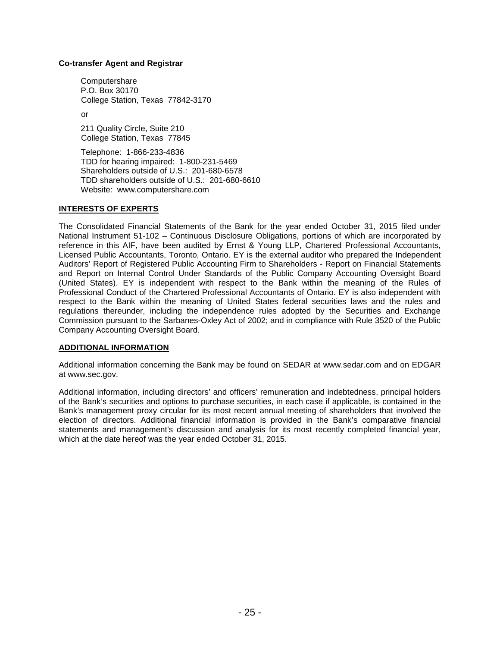# **Co-transfer Agent and Registrar**

**Computershare** P.O. Box 30170 College Station, Texas 77842-3170

or

211 Quality Circle, Suite 210 College Station, Texas 77845

Telephone: 1-866-233-4836 TDD for hearing impaired: 1-800-231-5469 Shareholders outside of U.S.: 201-680-6578 TDD shareholders outside of U.S.: 201-680-6610 Website: www.computershare.com

# **INTERESTS OF EXPERTS**

The Consolidated Financial Statements of the Bank for the year ended October 31, 2015 filed under National Instrument 51-102 – Continuous Disclosure Obligations, portions of which are incorporated by reference in this AIF, have been audited by Ernst & Young LLP, Chartered Professional Accountants, Licensed Public Accountants, Toronto, Ontario. EY is the external auditor who prepared the Independent Auditors' Report of Registered Public Accounting Firm to Shareholders - Report on Financial Statements and Report on Internal Control Under Standards of the Public Company Accounting Oversight Board (United States). EY is independent with respect to the Bank within the meaning of the Rules of Professional Conduct of the Chartered Professional Accountants of Ontario. EY is also independent with respect to the Bank within the meaning of United States federal securities laws and the rules and regulations thereunder, including the independence rules adopted by the Securities and Exchange Commission pursuant to the Sarbanes-Oxley Act of 2002; and in compliance with Rule 3520 of the Public Company Accounting Oversight Board.

# **ADDITIONAL INFORMATION**

Additional information concerning the Bank may be found on SEDAR at www.sedar.com and on EDGAR at www.sec.gov.

Additional information, including directors' and officers' remuneration and indebtedness, principal holders of the Bank's securities and options to purchase securities, in each case if applicable, is contained in the Bank's management proxy circular for its most recent annual meeting of shareholders that involved the election of directors. Additional financial information is provided in the Bank's comparative financial statements and management's discussion and analysis for its most recently completed financial year, which at the date hereof was the year ended October 31, 2015.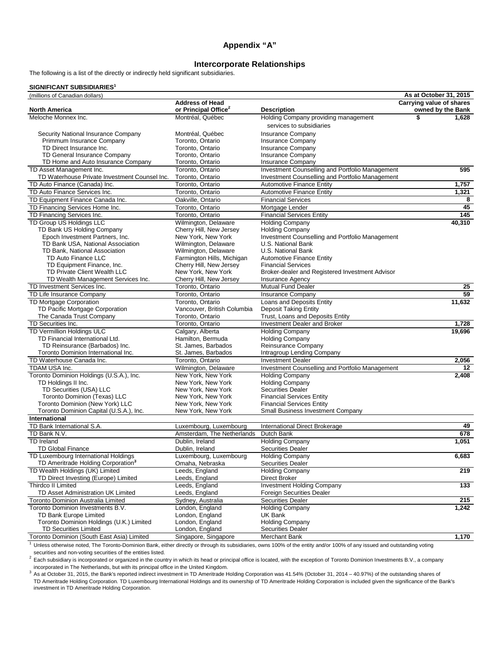# **Appendix "A"**

#### **Intercorporate Relationships**

The following is a list of the directly or indirectly held significant subsidiaries.

#### **SIGNIFICANT SUBSIDIARIES1**

| (millions of Canadian dollars)                 |                                                            |                                                                      | As at October 31, 2015                        |
|------------------------------------------------|------------------------------------------------------------|----------------------------------------------------------------------|-----------------------------------------------|
| <b>North America</b>                           | <b>Address of Head</b><br>or Principal Office <sup>2</sup> | <b>Description</b>                                                   | Carrying value of shares<br>owned by the Bank |
| Meloche Monnex Inc.                            | Montréal, Québec                                           | Holding Company providing management                                 | \$<br>1,628                                   |
|                                                |                                                            | services to subsidiaries                                             |                                               |
| Security National Insurance Company            | Montréal, Québec                                           | <b>Insurance Company</b>                                             |                                               |
| Primmum Insurance Company                      | Toronto, Ontario                                           | <b>Insurance Company</b>                                             |                                               |
| TD Direct Insurance Inc.                       | Toronto, Ontario                                           | Insurance Company                                                    |                                               |
| TD General Insurance Company                   | Toronto, Ontario                                           | <b>Insurance Company</b>                                             |                                               |
| TD Home and Auto Insurance Company             | Toronto, Ontario                                           | <b>Insurance Company</b>                                             |                                               |
| TD Asset Management Inc.                       | Toronto, Ontario                                           | Investment Counselling and Portfolio Management                      | 595                                           |
| TD Waterhouse Private Investment Counsel Inc.  | Toronto, Ontario                                           | Investment Counselling and Portfolio Management                      |                                               |
| TD Auto Finance (Canada) Inc.                  | Toronto, Ontario                                           | <b>Automotive Finance Entity</b>                                     | $\overline{1,757}$                            |
| TD Auto Finance Services Inc.                  | Toronto, Ontario                                           | <b>Automotive Finance Entity</b>                                     | 1,321                                         |
| TD Equipment Finance Canada Inc.               | Oakville, Ontario                                          | <b>Financial Services</b>                                            |                                               |
|                                                |                                                            |                                                                      | 8                                             |
| TD Financing Services Home Inc.                | Toronto, Ontario                                           | Mortgage Lender                                                      | 45                                            |
| TD Financing Services Inc.                     | Toronto, Ontario                                           | <b>Financial Services Entity</b>                                     | 145                                           |
| TD Group US Holdings LLC                       | Wilmington, Delaware                                       | <b>Holding Company</b>                                               | 40,310                                        |
| TD Bank US Holding Company                     | Cherry Hill, New Jersey                                    | <b>Holding Company</b>                                               |                                               |
| Epoch Investment Partners, Inc.                | New York, New York                                         | Investment Counselling and Portfolio Management                      |                                               |
| TD Bank USA, National Association              | Wilmington, Delaware                                       | U.S. National Bank                                                   |                                               |
| TD Bank, National Association                  | Wilmington, Delaware                                       | U.S. National Bank                                                   |                                               |
| <b>TD Auto Finance LLC</b>                     | Farmington Hills, Michigan                                 | <b>Automotive Finance Entity</b>                                     |                                               |
| TD Equipment Finance, Inc.                     | Cherry Hill, New Jersey                                    | <b>Financial Services</b>                                            |                                               |
| TD Private Client Wealth LLC                   | New York, New York                                         | Broker-dealer and Registered Investment Advisor                      |                                               |
| TD Wealth Management Services Inc.             | Cherry Hill, New Jersey                                    | <b>Insurance Agency</b>                                              |                                               |
| TD Investment Services Inc.                    | Toronto, Ontario                                           | <b>Mutual Fund Dealer</b>                                            | 25                                            |
| TD Life Insurance Company                      | Toronto, Ontario                                           | <b>Insurance Company</b>                                             | 59                                            |
| TD Mortgage Corporation                        | Toronto, Ontario                                           | Loans and Deposits Entity                                            | 11,632                                        |
| TD Pacific Mortgage Corporation                | Vancouver, British Columbia                                | <b>Deposit Taking Entity</b>                                         |                                               |
| The Canada Trust Company                       | Toronto, Ontario                                           | Trust, Loans and Deposits Entity                                     |                                               |
| TD Securities Inc.                             | Toronto, Ontario                                           | Investment Dealer and Broker                                         | 1,728                                         |
| TD Vermillion Holdings ULC                     | Calgary, Alberta                                           | <b>Holding Company</b>                                               | 19,696                                        |
| TD Financial International Ltd.                | Hamilton, Bermuda                                          | <b>Holding Company</b>                                               |                                               |
| TD Reinsurance (Barbados) Inc.                 | St. James, Barbados                                        | Reinsurance Company                                                  |                                               |
| Toronto Dominion International Inc.            | St. James, Barbados                                        | Intragroup Lending Company                                           |                                               |
| TD Waterhouse Canada Inc.                      | Toronto, Ontario                                           | <b>Investment Dealer</b>                                             | 2,056                                         |
| TDAM USA Inc.                                  | Wilmington, Delaware                                       | <b>Investment Counselling and Portfolio Management</b>               | $12 \,$                                       |
| Toronto Dominion Holdings (U.S.A.), Inc.       | New York, New York                                         |                                                                      | 2,408                                         |
|                                                | New York, New York                                         | <b>Holding Company</b>                                               |                                               |
| TD Holdings II Inc.<br>TD Securities (USA) LLC | New York, New York                                         | <b>Holding Company</b><br><b>Securities Dealer</b>                   |                                               |
| Toronto Dominion (Texas) LLC                   | New York, New York                                         |                                                                      |                                               |
| Toronto Dominion (New York) LLC                | New York, New York                                         | <b>Financial Services Entity</b><br><b>Financial Services Entity</b> |                                               |
| Toronto Dominion Capital (U.S.A.), Inc.        | New York, New York                                         | Small Business Investment Company                                    |                                               |
|                                                |                                                            |                                                                      |                                               |
| <b>International</b>                           |                                                            |                                                                      |                                               |
| TD Bank International S.A.                     | Luxembourg, Luxembourg                                     | International Direct Brokerage                                       | 49                                            |
| TD Bank N.V.                                   | Amsterdam, The Netherlands                                 | Dutch Bank                                                           | 678                                           |
| <b>TD Ireland</b>                              | Dublin, Ireland                                            | <b>Holding Company</b>                                               | 1,051                                         |
| <b>TD Global Finance</b>                       | Dublin, Ireland                                            | <b>Securities Dealer</b>                                             |                                               |
| TD Luxembourg International Holdings           | Luxembourg, Luxembourg                                     | <b>Holding Company</b>                                               | 6,683                                         |
| TD Ameritrade Holding Corporation <sup>3</sup> | Omaha, Nebraska                                            | <b>Securities Dealer</b>                                             |                                               |
| TD Wealth Holdings (UK) Limited                | Leeds, England                                             | <b>Holding Company</b>                                               | 219                                           |
| TD Direct Investing (Europe) Limited           | Leeds, England                                             | Direct Broker                                                        |                                               |
| Thirdco II Limited                             | Leeds, England                                             | <b>Investment Holding Company</b>                                    | 133                                           |
| TD Asset Administration UK Limited             | Leeds, England                                             | Foreign Securities Dealer                                            |                                               |
| Toronto Dominion Australia Limited             | Sydney, Australia                                          | <b>Securities Dealer</b>                                             | 215                                           |
| Toronto Dominion Investments B.V.              | London, England                                            | <b>Holding Company</b>                                               | 1,242                                         |
| TD Bank Europe Limited                         | London, England                                            | UK Bank                                                              |                                               |
| Toronto Dominion Holdings (U.K.) Limited       | London, England                                            | <b>Holding Company</b>                                               |                                               |
| <b>TD Securities Limited</b>                   | London, England                                            | <b>Securities Dealer</b>                                             |                                               |
| Toronto Dominion (South East Asia) Limited     | Singapore, Singapore                                       | Merchant Bank                                                        | 1,170                                         |
|                                                |                                                            |                                                                      |                                               |

 $^1$  Unless otherwise noted, The Toronto-Dominion Bank, either directly or through its subsidiaries, owns 100% of the entity and/or 100% of any issued and outstanding voting securities and non-voting securities of the entities listed.

2 Each subsidiary is incorporated or organized in the country in which its head or principal office is located, with the exception of Toronto Dominion Investments B.V., a company incorporated in The Netherlands, but with its principal office in the United Kingdom.

 $3$  As at October 31, 2015, the Bank's reported indirect investment in TD Ameritrade Holding Corporation was 41.54% (October 31, 2014 – 40.97%) of the outstanding shares of TD Ameritrade Holding Corporation. TD Luxembourg International Holdings and its ownership of TD Ameritrade Holding Corporation is included given the significance of the Bank's investment in TD Ameritrade Holding Corporation.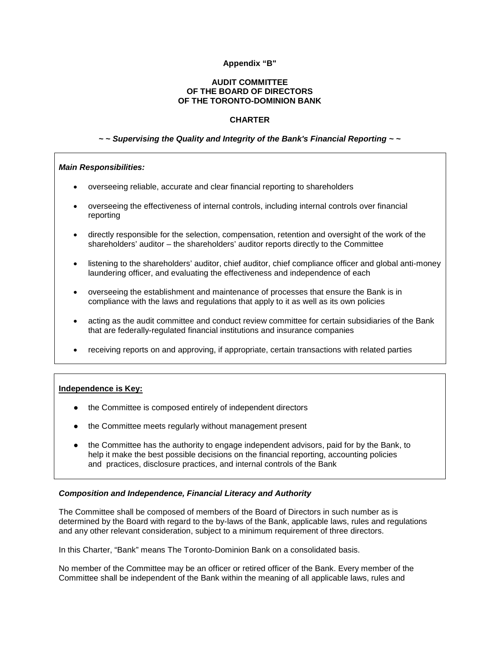# **Appendix "B"**

#### **AUDIT COMMITTEE OF THE BOARD OF DIRECTORS OF THE TORONTO-DOMINION BANK**

#### **CHARTER**

#### *~ ~ Supervising the Quality and Integrity of the Bank's Financial Reporting ~ ~*

#### *Main Responsibilities:*

- overseeing reliable, accurate and clear financial reporting to shareholders
- overseeing the effectiveness of internal controls, including internal controls over financial reporting
- directly responsible for the selection, compensation, retention and oversight of the work of the shareholders' auditor – the shareholders' auditor reports directly to the Committee
- listening to the shareholders' auditor, chief auditor, chief compliance officer and global anti-money laundering officer, and evaluating the effectiveness and independence of each
- overseeing the establishment and maintenance of processes that ensure the Bank is in compliance with the laws and regulations that apply to it as well as its own policies
- acting as the audit committee and conduct review committee for certain subsidiaries of the Bank that are federally-regulated financial institutions and insurance companies
- receiving reports on and approving, if appropriate, certain transactions with related parties

#### **Independence is Key:**

- **●** the Committee is composed entirely of independent directors
- **●** the Committee meets regularly without management present
- **●** the Committee has the authority to engage independent advisors, paid for by the Bank, to help it make the best possible decisions on the financial reporting, accounting policies and practices, disclosure practices, and internal controls of the Bank

#### *Composition and Independence, Financial Literacy and Authority*

The Committee shall be composed of members of the Board of Directors in such number as is determined by the Board with regard to the by-laws of the Bank, applicable laws, rules and regulations and any other relevant consideration, subject to a minimum requirement of three directors.

In this Charter, "Bank" means The Toronto-Dominion Bank on a consolidated basis.

No member of the Committee may be an officer or retired officer of the Bank. Every member of the Committee shall be independent of the Bank within the meaning of all applicable laws, rules and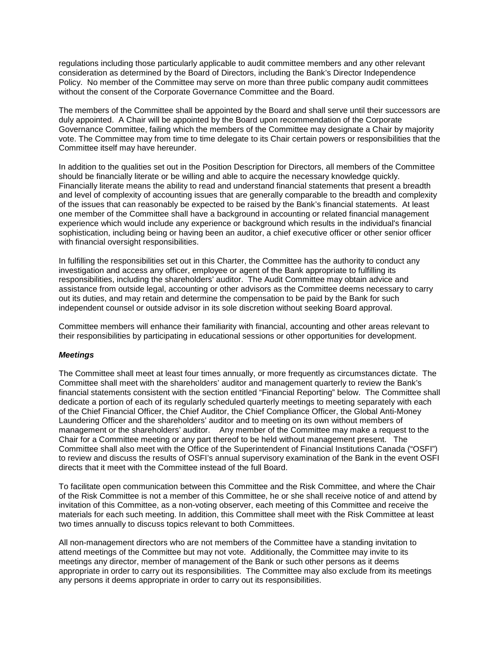regulations including those particularly applicable to audit committee members and any other relevant consideration as determined by the Board of Directors, including the Bank's Director Independence Policy. No member of the Committee may serve on more than three public company audit committees without the consent of the Corporate Governance Committee and the Board.

The members of the Committee shall be appointed by the Board and shall serve until their successors are duly appointed. A Chair will be appointed by the Board upon recommendation of the Corporate Governance Committee, failing which the members of the Committee may designate a Chair by majority vote. The Committee may from time to time delegate to its Chair certain powers or responsibilities that the Committee itself may have hereunder.

In addition to the qualities set out in the Position Description for Directors, all members of the Committee should be financially literate or be willing and able to acquire the necessary knowledge quickly. Financially literate means the ability to read and understand financial statements that present a breadth and level of complexity of accounting issues that are generally comparable to the breadth and complexity of the issues that can reasonably be expected to be raised by the Bank's financial statements. At least one member of the Committee shall have a background in accounting or related financial management experience which would include any experience or background which results in the individual's financial sophistication, including being or having been an auditor, a chief executive officer or other senior officer with financial oversight responsibilities.

In fulfilling the responsibilities set out in this Charter, the Committee has the authority to conduct any investigation and access any officer, employee or agent of the Bank appropriate to fulfilling its responsibilities, including the shareholders' auditor. The Audit Committee may obtain advice and assistance from outside legal, accounting or other advisors as the Committee deems necessary to carry out its duties, and may retain and determine the compensation to be paid by the Bank for such independent counsel or outside advisor in its sole discretion without seeking Board approval.

Committee members will enhance their familiarity with financial, accounting and other areas relevant to their responsibilities by participating in educational sessions or other opportunities for development.

#### *Meetings*

The Committee shall meet at least four times annually, or more frequently as circumstances dictate. The Committee shall meet with the shareholders' auditor and management quarterly to review the Bank's financial statements consistent with the section entitled "Financial Reporting" below. The Committee shall dedicate a portion of each of its regularly scheduled quarterly meetings to meeting separately with each of the Chief Financial Officer, the Chief Auditor, the Chief Compliance Officer, the Global Anti-Money Laundering Officer and the shareholders' auditor and to meeting on its own without members of management or the shareholders' auditor. Any member of the Committee may make a request to the Chair for a Committee meeting or any part thereof to be held without management present. The Committee shall also meet with the Office of the Superintendent of Financial Institutions Canada ("OSFI") to review and discuss the results of OSFI's annual supervisory examination of the Bank in the event OSFI directs that it meet with the Committee instead of the full Board.

To facilitate open communication between this Committee and the Risk Committee, and where the Chair of the Risk Committee is not a member of this Committee, he or she shall receive notice of and attend by invitation of this Committee, as a non-voting observer, each meeting of this Committee and receive the materials for each such meeting. In addition, this Committee shall meet with the Risk Committee at least two times annually to discuss topics relevant to both Committees.

All non-management directors who are not members of the Committee have a standing invitation to attend meetings of the Committee but may not vote. Additionally, the Committee may invite to its meetings any director, member of management of the Bank or such other persons as it deems appropriate in order to carry out its responsibilities. The Committee may also exclude from its meetings any persons it deems appropriate in order to carry out its responsibilities.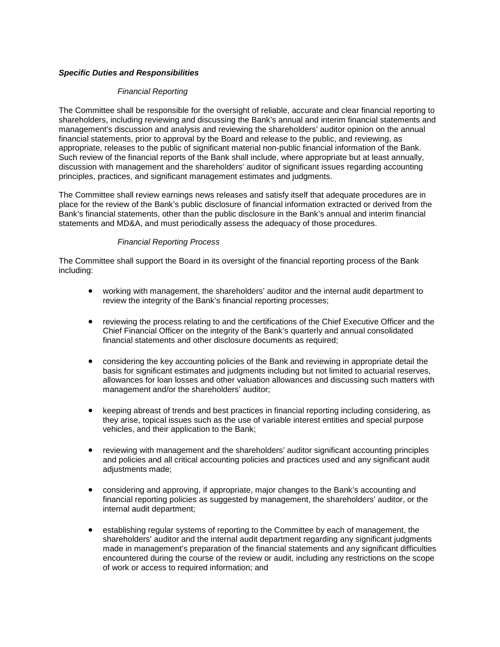# *Specific Duties and Responsibilities*

### *Financial Reporting*

The Committee shall be responsible for the oversight of reliable, accurate and clear financial reporting to shareholders, including reviewing and discussing the Bank's annual and interim financial statements and management's discussion and analysis and reviewing the shareholders' auditor opinion on the annual financial statements, prior to approval by the Board and release to the public, and reviewing, as appropriate, releases to the public of significant material non-public financial information of the Bank. Such review of the financial reports of the Bank shall include, where appropriate but at least annually, discussion with management and the shareholders' auditor of significant issues regarding accounting principles, practices, and significant management estimates and judgments.

The Committee shall review earnings news releases and satisfy itself that adequate procedures are in place for the review of the Bank's public disclosure of financial information extracted or derived from the Bank's financial statements, other than the public disclosure in the Bank's annual and interim financial statements and MD&A, and must periodically assess the adequacy of those procedures.

# *Financial Reporting Process*

The Committee shall support the Board in its oversight of the financial reporting process of the Bank including:

- working with management, the shareholders' auditor and the internal audit department to review the integrity of the Bank's financial reporting processes;
- reviewing the process relating to and the certifications of the Chief Executive Officer and the Chief Financial Officer on the integrity of the Bank's quarterly and annual consolidated financial statements and other disclosure documents as required;
- considering the key accounting policies of the Bank and reviewing in appropriate detail the basis for significant estimates and judgments including but not limited to actuarial reserves, allowances for loan losses and other valuation allowances and discussing such matters with management and/or the shareholders' auditor;
- keeping abreast of trends and best practices in financial reporting including considering, as they arise, topical issues such as the use of variable interest entities and special purpose vehicles, and their application to the Bank;
- reviewing with management and the shareholders' auditor significant accounting principles and policies and all critical accounting policies and practices used and any significant audit adjustments made;
- considering and approving, if appropriate, major changes to the Bank's accounting and financial reporting policies as suggested by management, the shareholders' auditor, or the internal audit department;
- establishing regular systems of reporting to the Committee by each of management, the shareholders' auditor and the internal audit department regarding any significant judgments made in management's preparation of the financial statements and any significant difficulties encountered during the course of the review or audit, including any restrictions on the scope of work or access to required information; and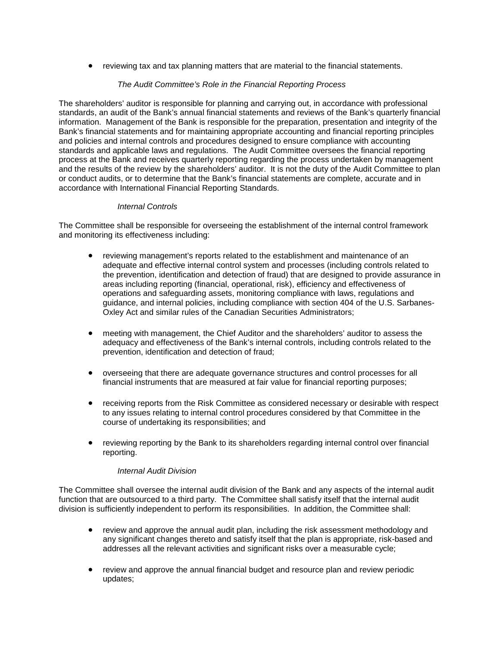• reviewing tax and tax planning matters that are material to the financial statements.

### *The Audit Committee's Role in the Financial Reporting Process*

The shareholders' auditor is responsible for planning and carrying out, in accordance with professional standards, an audit of the Bank's annual financial statements and reviews of the Bank's quarterly financial information. Management of the Bank is responsible for the preparation, presentation and integrity of the Bank's financial statements and for maintaining appropriate accounting and financial reporting principles and policies and internal controls and procedures designed to ensure compliance with accounting standards and applicable laws and regulations. The Audit Committee oversees the financial reporting process at the Bank and receives quarterly reporting regarding the process undertaken by management and the results of the review by the shareholders' auditor. It is not the duty of the Audit Committee to plan or conduct audits, or to determine that the Bank's financial statements are complete, accurate and in accordance with International Financial Reporting Standards.

#### *Internal Controls*

The Committee shall be responsible for overseeing the establishment of the internal control framework and monitoring its effectiveness including:

- reviewing management's reports related to the establishment and maintenance of an adequate and effective internal control system and processes (including controls related to the prevention, identification and detection of fraud) that are designed to provide assurance in areas including reporting (financial, operational, risk), efficiency and effectiveness of operations and safeguarding assets, monitoring compliance with laws, regulations and guidance, and internal policies, including compliance with section 404 of the U.S. Sarbanes-Oxley Act and similar rules of the Canadian Securities Administrators;
- meeting with management, the Chief Auditor and the shareholders' auditor to assess the adequacy and effectiveness of the Bank's internal controls, including controls related to the prevention, identification and detection of fraud;
- overseeing that there are adequate governance structures and control processes for all financial instruments that are measured at fair value for financial reporting purposes;
- receiving reports from the Risk Committee as considered necessary or desirable with respect to any issues relating to internal control procedures considered by that Committee in the course of undertaking its responsibilities; and
- reviewing reporting by the Bank to its shareholders regarding internal control over financial reporting.

# *Internal Audit Division*

The Committee shall oversee the internal audit division of the Bank and any aspects of the internal audit function that are outsourced to a third party. The Committee shall satisfy itself that the internal audit division is sufficiently independent to perform its responsibilities. In addition, the Committee shall:

- review and approve the annual audit plan, including the risk assessment methodology and any significant changes thereto and satisfy itself that the plan is appropriate, risk-based and addresses all the relevant activities and significant risks over a measurable cycle;
- review and approve the annual financial budget and resource plan and review periodic updates;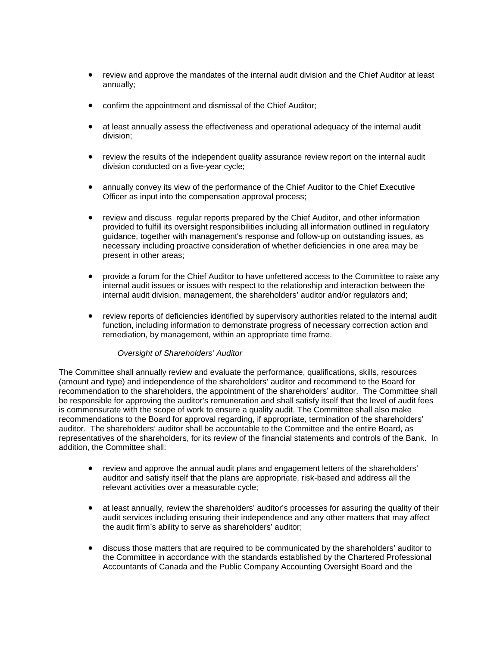- review and approve the mandates of the internal audit division and the Chief Auditor at least annually;
- confirm the appointment and dismissal of the Chief Auditor;
- at least annually assess the effectiveness and operational adequacy of the internal audit division;
- review the results of the independent quality assurance review report on the internal audit division conducted on a five-year cycle;
- annually convey its view of the performance of the Chief Auditor to the Chief Executive Officer as input into the compensation approval process;
- review and discuss regular reports prepared by the Chief Auditor, and other information provided to fulfill its oversight responsibilities including all information outlined in regulatory guidance, together with management's response and follow-up on outstanding issues, as necessary including proactive consideration of whether deficiencies in one area may be present in other areas;
- provide a forum for the Chief Auditor to have unfettered access to the Committee to raise any internal audit issues or issues with respect to the relationship and interaction between the internal audit division, management, the shareholders' auditor and/or regulators and;
- review reports of deficiencies identified by supervisory authorities related to the internal audit function, including information to demonstrate progress of necessary correction action and remediation, by management, within an appropriate time frame.

#### *Oversight of Shareholders' Auditor*

The Committee shall annually review and evaluate the performance, qualifications, skills, resources (amount and type) and independence of the shareholders' auditor and recommend to the Board for recommendation to the shareholders, the appointment of the shareholders' auditor. The Committee shall be responsible for approving the auditor's remuneration and shall satisfy itself that the level of audit fees is commensurate with the scope of work to ensure a quality audit. The Committee shall also make recommendations to the Board for approval regarding, if appropriate, termination of the shareholders' auditor. The shareholders' auditor shall be accountable to the Committee and the entire Board, as representatives of the shareholders, for its review of the financial statements and controls of the Bank. In addition, the Committee shall:

- review and approve the annual audit plans and engagement letters of the shareholders' auditor and satisfy itself that the plans are appropriate, risk-based and address all the relevant activities over a measurable cycle;
- at least annually, review the shareholders' auditor's processes for assuring the quality of their audit services including ensuring their independence and any other matters that may affect the audit firm's ability to serve as shareholders' auditor;
- discuss those matters that are required to be communicated by the shareholders' auditor to the Committee in accordance with the standards established by the Chartered Professional Accountants of Canada and the Public Company Accounting Oversight Board and the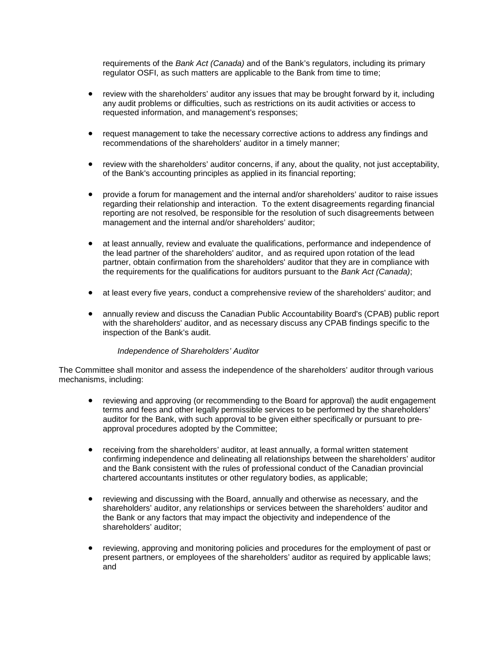requirements of the *Bank Act (Canada)* and of the Bank's regulators, including its primary regulator OSFI, as such matters are applicable to the Bank from time to time;

- review with the shareholders' auditor any issues that may be brought forward by it, including any audit problems or difficulties, such as restrictions on its audit activities or access to requested information, and management's responses;
- request management to take the necessary corrective actions to address any findings and recommendations of the shareholders' auditor in a timely manner;
- review with the shareholders' auditor concerns, if any, about the quality, not just acceptability, of the Bank's accounting principles as applied in its financial reporting;
- provide a forum for management and the internal and/or shareholders' auditor to raise issues regarding their relationship and interaction. To the extent disagreements regarding financial reporting are not resolved, be responsible for the resolution of such disagreements between management and the internal and/or shareholders' auditor;
- at least annually, review and evaluate the qualifications, performance and independence of the lead partner of the shareholders' auditor, and as required upon rotation of the lead partner, obtain confirmation from the shareholders' auditor that they are in compliance with the requirements for the qualifications for auditors pursuant to the *Bank Act (Canada)*;
- at least every five years, conduct a comprehensive review of the shareholders' auditor; and
- annually review and discuss the Canadian Public Accountability Board's (CPAB) public report with the shareholders' auditor, and as necessary discuss any CPAB findings specific to the inspection of the Bank's audit.

#### *Independence of Shareholders' Auditor*

The Committee shall monitor and assess the independence of the shareholders' auditor through various mechanisms, including:

- reviewing and approving (or recommending to the Board for approval) the audit engagement terms and fees and other legally permissible services to be performed by the shareholders' auditor for the Bank, with such approval to be given either specifically or pursuant to preapproval procedures adopted by the Committee;
- receiving from the shareholders' auditor, at least annually, a formal written statement confirming independence and delineating all relationships between the shareholders' auditor and the Bank consistent with the rules of professional conduct of the Canadian provincial chartered accountants institutes or other regulatory bodies, as applicable;
- reviewing and discussing with the Board, annually and otherwise as necessary, and the shareholders' auditor, any relationships or services between the shareholders' auditor and the Bank or any factors that may impact the objectivity and independence of the shareholders' auditor;
- reviewing, approving and monitoring policies and procedures for the employment of past or present partners, or employees of the shareholders' auditor as required by applicable laws; and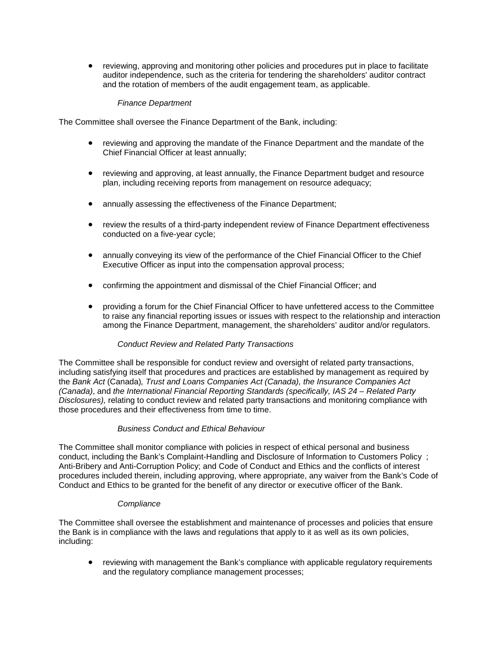• reviewing, approving and monitoring other policies and procedures put in place to facilitate auditor independence, such as the criteria for tendering the shareholders' auditor contract and the rotation of members of the audit engagement team, as applicable.

# *Finance Department*

The Committee shall oversee the Finance Department of the Bank, including:

- reviewing and approving the mandate of the Finance Department and the mandate of the Chief Financial Officer at least annually;
- reviewing and approving, at least annually, the Finance Department budget and resource plan, including receiving reports from management on resource adequacy;
- annually assessing the effectiveness of the Finance Department;
- review the results of a third-party independent review of Finance Department effectiveness conducted on a five-year cycle;
- annually conveying its view of the performance of the Chief Financial Officer to the Chief Executive Officer as input into the compensation approval process;
- confirming the appointment and dismissal of the Chief Financial Officer; and
- providing a forum for the Chief Financial Officer to have unfettered access to the Committee to raise any financial reporting issues or issues with respect to the relationship and interaction among the Finance Department, management, the shareholders' auditor and/or regulators.

#### *Conduct Review and Related Party Transactions*

The Committee shall be responsible for conduct review and oversight of related party transactions, including satisfying itself that procedures and practices are established by management as required by the *Bank Act* (Canada)*, Trust and Loans Companies Act (Canada), the Insurance Companies Act (Canada)*, and *the International Financial Reporting Standards (specifically, IAS 24 – Related Party Disclosures),* relating to conduct review and related party transactions and monitoring compliance with those procedures and their effectiveness from time to time.

#### *Business Conduct and Ethical Behaviour*

The Committee shall monitor compliance with policies in respect of ethical personal and business conduct, including the Bank's Complaint-Handling and Disclosure of Information to Customers Policy ; Anti-Bribery and Anti-Corruption Policy; and Code of Conduct and Ethics and the conflicts of interest procedures included therein, including approving, where appropriate, any waiver from the Bank's Code of Conduct and Ethics to be granted for the benefit of any director or executive officer of the Bank.

#### *Compliance*

The Committee shall oversee the establishment and maintenance of processes and policies that ensure the Bank is in compliance with the laws and regulations that apply to it as well as its own policies, including:

• reviewing with management the Bank's compliance with applicable regulatory requirements and the regulatory compliance management processes;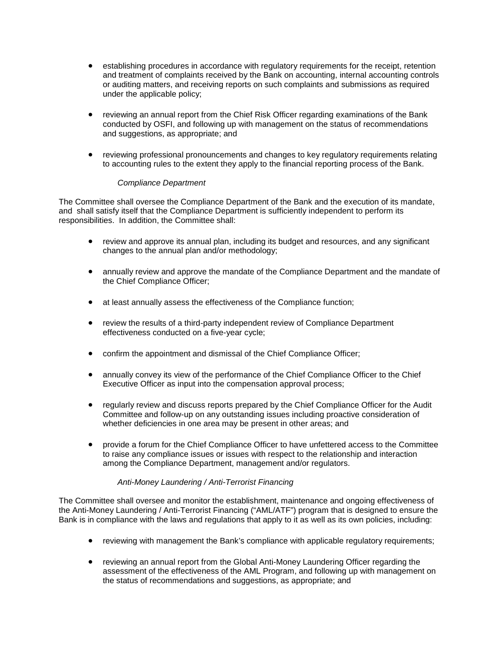- establishing procedures in accordance with regulatory requirements for the receipt, retention and treatment of complaints received by the Bank on accounting, internal accounting controls or auditing matters, and receiving reports on such complaints and submissions as required under the applicable policy;
- reviewing an annual report from the Chief Risk Officer regarding examinations of the Bank conducted by OSFI, and following up with management on the status of recommendations and suggestions, as appropriate; and
- reviewing professional pronouncements and changes to key regulatory requirements relating to accounting rules to the extent they apply to the financial reporting process of the Bank.

# *Compliance Department*

The Committee shall oversee the Compliance Department of the Bank and the execution of its mandate, and shall satisfy itself that the Compliance Department is sufficiently independent to perform its responsibilities. In addition, the Committee shall:

- review and approve its annual plan, including its budget and resources, and any significant changes to the annual plan and/or methodology;
- annually review and approve the mandate of the Compliance Department and the mandate of the Chief Compliance Officer;
- at least annually assess the effectiveness of the Compliance function:
- review the results of a third-party independent review of Compliance Department effectiveness conducted on a five-year cycle;
- confirm the appointment and dismissal of the Chief Compliance Officer;
- annually convey its view of the performance of the Chief Compliance Officer to the Chief Executive Officer as input into the compensation approval process;
- regularly review and discuss reports prepared by the Chief Compliance Officer for the Audit Committee and follow-up on any outstanding issues including proactive consideration of whether deficiencies in one area may be present in other areas; and
- provide a forum for the Chief Compliance Officer to have unfettered access to the Committee to raise any compliance issues or issues with respect to the relationship and interaction among the Compliance Department, management and/or regulators.

#### *Anti-Money Laundering / Anti-Terrorist Financing*

The Committee shall oversee and monitor the establishment, maintenance and ongoing effectiveness of the Anti-Money Laundering / Anti-Terrorist Financing ("AML/ATF") program that is designed to ensure the Bank is in compliance with the laws and regulations that apply to it as well as its own policies, including:

- reviewing with management the Bank's compliance with applicable regulatory requirements;
- reviewing an annual report from the Global Anti-Money Laundering Officer regarding the assessment of the effectiveness of the AML Program, and following up with management on the status of recommendations and suggestions, as appropriate; and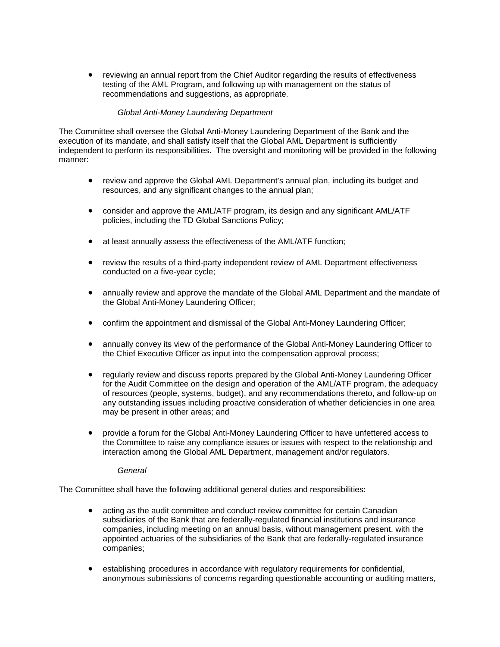• reviewing an annual report from the Chief Auditor regarding the results of effectiveness testing of the AML Program, and following up with management on the status of recommendations and suggestions, as appropriate.

# *Global Anti-Money Laundering Department*

The Committee shall oversee the Global Anti-Money Laundering Department of the Bank and the execution of its mandate, and shall satisfy itself that the Global AML Department is sufficiently independent to perform its responsibilities. The oversight and monitoring will be provided in the following manner:

- review and approve the Global AML Department's annual plan, including its budget and resources, and any significant changes to the annual plan;
- consider and approve the AML/ATF program, its design and any significant AML/ATF policies, including the TD Global Sanctions Policy;
- at least annually assess the effectiveness of the AML/ATF function;
- review the results of a third-party independent review of AML Department effectiveness conducted on a five-year cycle;
- annually review and approve the mandate of the Global AML Department and the mandate of the Global Anti-Money Laundering Officer;
- confirm the appointment and dismissal of the Global Anti-Money Laundering Officer;
- annually convey its view of the performance of the Global Anti-Money Laundering Officer to the Chief Executive Officer as input into the compensation approval process;
- regularly review and discuss reports prepared by the Global Anti-Money Laundering Officer for the Audit Committee on the design and operation of the AML/ATF program, the adequacy of resources (people, systems, budget), and any recommendations thereto, and follow-up on any outstanding issues including proactive consideration of whether deficiencies in one area may be present in other areas; and
- provide a forum for the Global Anti-Money Laundering Officer to have unfettered access to the Committee to raise any compliance issues or issues with respect to the relationship and interaction among the Global AML Department, management and/or regulators.

#### *General*

The Committee shall have the following additional general duties and responsibilities:

- acting as the audit committee and conduct review committee for certain Canadian subsidiaries of the Bank that are federally-regulated financial institutions and insurance companies, including meeting on an annual basis, without management present, with the appointed actuaries of the subsidiaries of the Bank that are federally-regulated insurance companies;
- establishing procedures in accordance with regulatory requirements for confidential, anonymous submissions of concerns regarding questionable accounting or auditing matters,